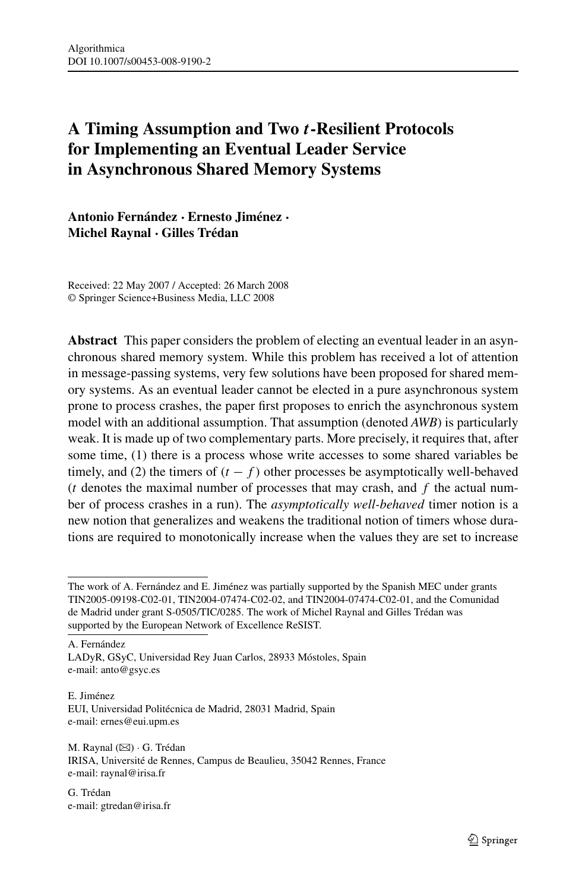# **A Timing Assumption and Two** *t***-Resilient Protocols for Implementing an Eventual Leader Service in Asynchronous Shared Memory Systems**

**Antonio Fernández · Ernesto Jiménez · Michel Raynal · Gilles Trédan**

Received: 22 May 2007 / Accepted: 26 March 2008 © Springer Science+Business Media, LLC 2008

**Abstract** This paper considers the problem of electing an eventual leader in an asynchronous shared memory system. While this problem has received a lot of attention in message-passing systems, very few solutions have been proposed for shared memory systems. As an eventual leader cannot be elected in a pure asynchronous system prone to process crashes, the paper first proposes to enrich the asynchronous system model with an additional assumption. That assumption (denoted *AWB*) is particularly weak. It is made up of two complementary parts. More precisely, it requires that, after some time, (1) there is a process whose write accesses to some shared variables be timely, and (2) the timers of  $(t - f)$  other processes be asymptotically well-behaved (*t* denotes the maximal number of processes that may crash, and *f* the actual number of process crashes in a run). The *asymptotically well-behaved* timer notion is a new notion that generalizes and weakens the traditional notion of timers whose durations are required to monotonically increase when the values they are set to increase

A. Fernández LADyR, GSyC, Universidad Rey Juan Carlos, 28933 Móstoles, Spain e-mail: anto@gsyc.es

E. Jiménez EUI, Universidad Politécnica de Madrid, 28031 Madrid, Spain e-mail: ernes@eui.upm.es

G. Trédan e-mail: gtredan@irisa.fr

The work of A. Fernández and E. Jiménez was partially supported by the Spanish MEC under grants TIN2005-09198-C02-01, TIN2004-07474-C02-02, and TIN2004-07474-C02-01, and the Comunidad de Madrid under grant S-0505/TIC/0285. The work of Michel Raynal and Gilles Trédan was supported by the European Network of Excellence ReSIST.

M. Raynal (⊠) · G. Trédan IRISA, Université de Rennes, Campus de Beaulieu, 35042 Rennes, France e-mail: raynal@irisa.fr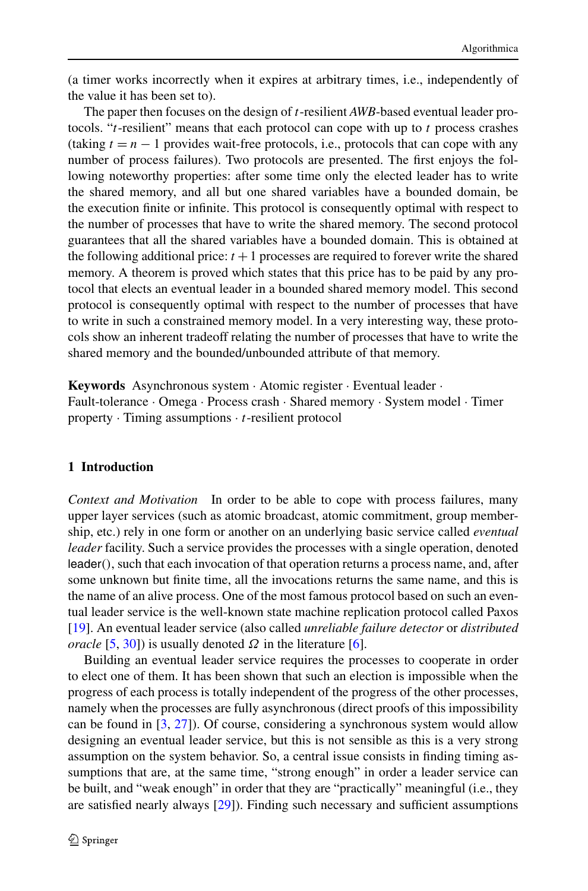(a timer works incorrectly when it expires at arbitrary times, i.e., independently of the value it has been set to).

The paper then focuses on the design of *t*-resilient *AWB*-based eventual leader protocols. "*t*-resilient" means that each protocol can cope with up to *t* process crashes (taking  $t = n - 1$  provides wait-free protocols, i.e., protocols that can cope with any number of process failures). Two protocols are presented. The first enjoys the following noteworthy properties: after some time only the elected leader has to write the shared memory, and all but one shared variables have a bounded domain, be the execution finite or infinite. This protocol is consequently optimal with respect to the number of processes that have to write the shared memory. The second protocol guarantees that all the shared variables have a bounded domain. This is obtained at the following additional price:  $t + 1$  processes are required to forever write the shared memory. A theorem is proved which states that this price has to be paid by any protocol that elects an eventual leader in a bounded shared memory model. This second protocol is consequently optimal with respect to the number of processes that have to write in such a constrained memory model. In a very interesting way, these protocols show an inherent tradeoff relating the number of processes that have to write the shared memory and the bounded/unbounded attribute of that memory.

**Keywords** Asynchronous system · Atomic register · Eventual leader · Fault-tolerance · Omega · Process crash · Shared memory · System model · Timer property · Timing assumptions · *t*-resilient protocol

## **1 Introduction**

*Context and Motivation* In order to be able to cope with process failures, many upper layer services (such as atomic broadcast, atomic commitment, group membership, etc.) rely in one form or another on an underlying basic service called *eventual leader* facility. Such a service provides the processes with a single operation, denoted leader*()*, such that each invocation of that operation returns a process name, and, after some unknown but finite time, all the invocations returns the same name, and this is the name of an alive process. One of the most famous protocol based on such an eventual leader service is the well-known state machine replication protocol called Paxos [\[19](#page-26-0)]. An eventual leader service (also called *unreliable failure detector* or *distributed oracle* [[5,](#page-25-0) [30\]](#page-26-0)) is usually denoted  $\Omega$  in the literature [[6\]](#page-25-0).

Building an eventual leader service requires the processes to cooperate in order to elect one of them. It has been shown that such an election is impossible when the progress of each process is totally independent of the progress of the other processes, namely when the processes are fully asynchronous (direct proofs of this impossibility can be found in [\[3](#page-25-0), [27](#page-26-0)]). Of course, considering a synchronous system would allow designing an eventual leader service, but this is not sensible as this is a very strong assumption on the system behavior. So, a central issue consists in finding timing assumptions that are, at the same time, "strong enough" in order a leader service can be built, and "weak enough" in order that they are "practically" meaningful (i.e., they are satisfied nearly always [[29\]](#page-26-0)). Finding such necessary and sufficient assumptions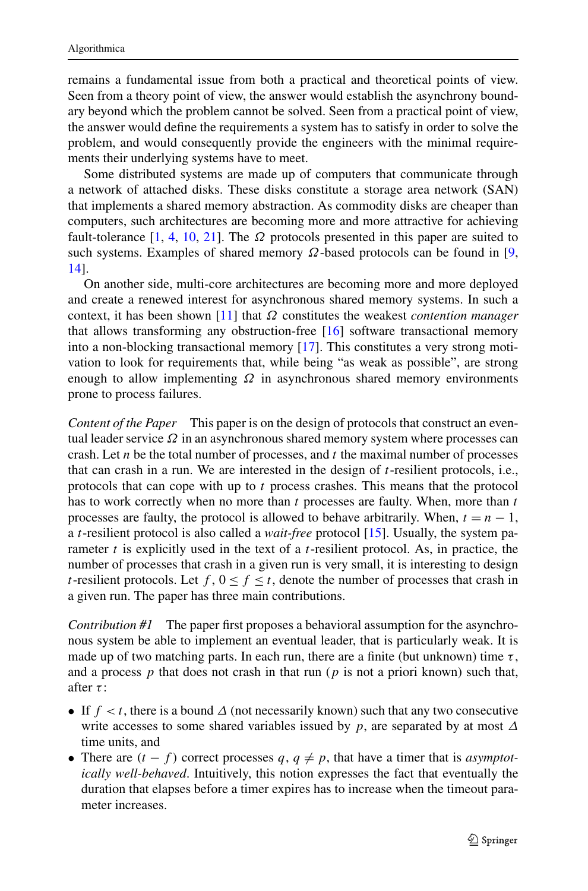remains a fundamental issue from both a practical and theoretical points of view. Seen from a theory point of view, the answer would establish the asynchrony boundary beyond which the problem cannot be solved. Seen from a practical point of view, the answer would define the requirements a system has to satisfy in order to solve the problem, and would consequently provide the engineers with the minimal requirements their underlying systems have to meet.

Some distributed systems are made up of computers that communicate through a network of attached disks. These disks constitute a storage area network (SAN) that implements a shared memory abstraction. As commodity disks are cheaper than computers, such architectures are becoming more and more attractive for achieving fault-tolerance  $[1, 4, 10, 21]$  $[1, 4, 10, 21]$  $[1, 4, 10, 21]$  $[1, 4, 10, 21]$  $[1, 4, 10, 21]$  $[1, 4, 10, 21]$  $[1, 4, 10, 21]$  $[1, 4, 10, 21]$ . The  $\Omega$  protocols presented in this paper are suited to such systems. Examples of shared memory *Ω*-based protocols can be found in [\[9](#page-25-0), [14\]](#page-26-0).

On another side, multi-core architectures are becoming more and more deployed and create a renewed interest for asynchronous shared memory systems. In such a context, it has been shown [[11\]](#page-26-0) that *Ω* constitutes the weakest *contention manager* that allows transforming any obstruction-free [\[16\]](#page-26-0) software transactional memory into a non-blocking transactional memory [[17\]](#page-26-0). This constitutes a very strong motivation to look for requirements that, while being "as weak as possible", are strong enough to allow implementing *Ω* in asynchronous shared memory environments prone to process failures.

*Content of the Paper* This paper is on the design of protocols that construct an eventual leader service *Ω* in an asynchronous shared memory system where processes can crash. Let *n* be the total number of processes, and *t* the maximal number of processes that can crash in a run. We are interested in the design of *t*-resilient protocols, i.e., protocols that can cope with up to *t* process crashes. This means that the protocol has to work correctly when no more than *t* processes are faulty. When, more than *t* processes are faulty, the protocol is allowed to behave arbitrarily. When,  $t = n - 1$ , a *t*-resilient protocol is also called a *wait-free* protocol [\[15](#page-26-0)]. Usually, the system parameter *t* is explicitly used in the text of a *t*-resilient protocol. As, in practice, the number of processes that crash in a given run is very small, it is interesting to design *t*-resilient protocols. Let  $f, 0 \le f \le t$ , denote the number of processes that crash in a given run. The paper has three main contributions.

*Contribution #1* The paper first proposes a behavioral assumption for the asynchronous system be able to implement an eventual leader, that is particularly weak. It is made up of two matching parts. In each run, there are a finite (but unknown) time  $\tau$ , and a process  $p$  that does not crash in that run ( $p$  is not a priori known) such that, after *τ* :

- If  $f \leq t$ , there is a bound  $\Delta$  (not necessarily known) such that any two consecutive write accesses to some shared variables issued by *p*, are separated by at most *Δ* time units, and
- There are  $(t f)$  correct processes  $q, q \neq p$ , that have a timer that is *asymptotically well-behaved*. Intuitively, this notion expresses the fact that eventually the duration that elapses before a timer expires has to increase when the timeout parameter increases.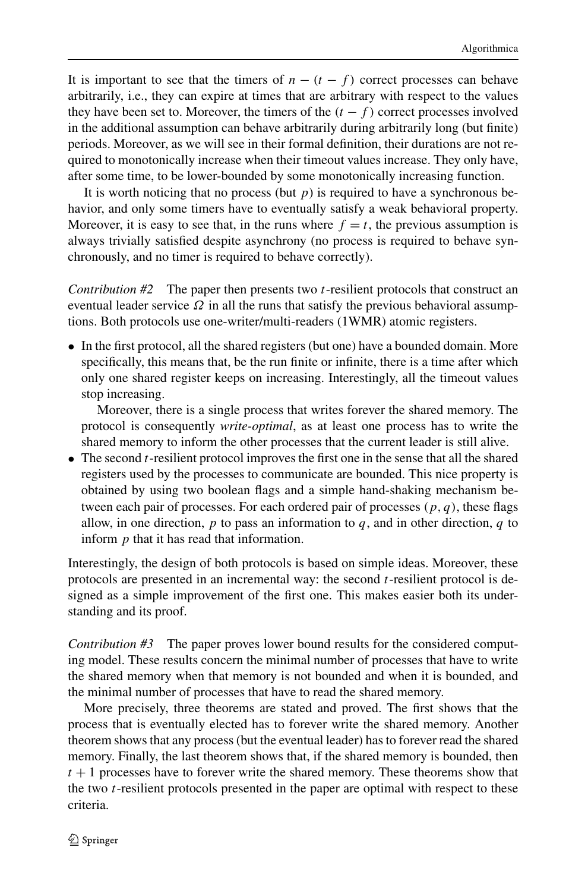It is important to see that the timers of  $n - (t - f)$  correct processes can behave arbitrarily, i.e., they can expire at times that are arbitrary with respect to the values they have been set to. Moreover, the timers of the  $(t - f)$  correct processes involved in the additional assumption can behave arbitrarily during arbitrarily long (but finite) periods. Moreover, as we will see in their formal definition, their durations are not required to monotonically increase when their timeout values increase. They only have, after some time, to be lower-bounded by some monotonically increasing function.

It is worth noticing that no process (but *p*) is required to have a synchronous behavior, and only some timers have to eventually satisfy a weak behavioral property. Moreover, it is easy to see that, in the runs where  $f = t$ , the previous assumption is always trivially satisfied despite asynchrony (no process is required to behave synchronously, and no timer is required to behave correctly).

*Contribution #2* The paper then presents two *t*-resilient protocols that construct an eventual leader service  $\Omega$  in all the runs that satisfy the previous behavioral assumptions. Both protocols use one-writer/multi-readers (1WMR) atomic registers.

• In the first protocol, all the shared registers (but one) have a bounded domain. More specifically, this means that, be the run finite or infinite, there is a time after which only one shared register keeps on increasing. Interestingly, all the timeout values stop increasing.

Moreover, there is a single process that writes forever the shared memory. The protocol is consequently *write-optimal*, as at least one process has to write the shared memory to inform the other processes that the current leader is still alive.

• The second *t*-resilient protocol improves the first one in the sense that all the shared registers used by the processes to communicate are bounded. This nice property is obtained by using two boolean flags and a simple hand-shaking mechanism between each pair of processes. For each ordered pair of processes *(p,q)*, these flags allow, in one direction,  $p$  to pass an information to  $q$ , and in other direction,  $q$  to inform *p* that it has read that information.

Interestingly, the design of both protocols is based on simple ideas. Moreover, these protocols are presented in an incremental way: the second *t*-resilient protocol is designed as a simple improvement of the first one. This makes easier both its understanding and its proof.

*Contribution #3* The paper proves lower bound results for the considered computing model. These results concern the minimal number of processes that have to write the shared memory when that memory is not bounded and when it is bounded, and the minimal number of processes that have to read the shared memory.

More precisely, three theorems are stated and proved. The first shows that the process that is eventually elected has to forever write the shared memory. Another theorem shows that any process (but the eventual leader) has to forever read the shared memory. Finally, the last theorem shows that, if the shared memory is bounded, then *t* + 1 processes have to forever write the shared memory. These theorems show that the two *t*-resilient protocols presented in the paper are optimal with respect to these criteria.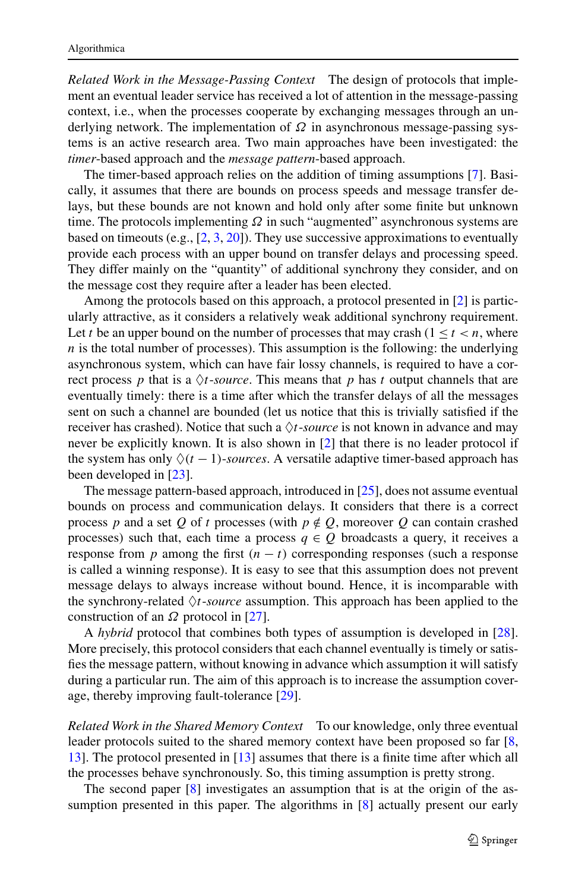*Related Work in the Message-Passing Context* The design of protocols that implement an eventual leader service has received a lot of attention in the message-passing context, i.e., when the processes cooperate by exchanging messages through an underlying network. The implementation of *Ω* in asynchronous message-passing systems is an active research area. Two main approaches have been investigated: the *timer*-based approach and the *message pattern*-based approach.

The timer-based approach relies on the addition of timing assumptions [[7\]](#page-25-0). Basically, it assumes that there are bounds on process speeds and message transfer delays, but these bounds are not known and hold only after some finite but unknown time. The protocols implementing *Ω* in such "augmented" asynchronous systems are based on timeouts (e.g.,  $[2, 3, 20]$  $[2, 3, 20]$  $[2, 3, 20]$  $[2, 3, 20]$  $[2, 3, 20]$  $[2, 3, 20]$ ). They use successive approximations to eventually provide each process with an upper bound on transfer delays and processing speed. They differ mainly on the "quantity" of additional synchrony they consider, and on the message cost they require after a leader has been elected.

Among the protocols based on this approach, a protocol presented in [[2\]](#page-25-0) is particularly attractive, as it considers a relatively weak additional synchrony requirement. Let *t* be an upper bound on the number of processes that may crash  $(1 \le t < n$ , where *n* is the total number of processes). This assumption is the following: the underlying asynchronous system, which can have fair lossy channels, is required to have a correct process *p* that is a  $\Diamond t$ -*source*. This means that *p* has *t* output channels that are eventually timely: there is a time after which the transfer delays of all the messages sent on such a channel are bounded (let us notice that this is trivially satisfied if the receiver has crashed). Notice that such a  $\Diamond t$ -*source* is not known in advance and may never be explicitly known. It is also shown in [\[2](#page-25-0)] that there is no leader protocol if the system has only  $\Diamond(t-1)$ -*sources*. A versatile adaptive timer-based approach has been developed in [[23\]](#page-26-0).

The message pattern-based approach, introduced in [\[25](#page-26-0)], does not assume eventual bounds on process and communication delays. It considers that there is a correct process *p* and a set *Q* of *t* processes (with  $p \notin Q$ , moreover *Q* can contain crashed processes) such that, each time a process  $q \in Q$  broadcasts a query, it receives a response from  $p$  among the first  $(n - t)$  corresponding responses (such a response is called a winning response). It is easy to see that this assumption does not prevent message delays to always increase without bound. Hence, it is incomparable with the synchrony-related  $\Diamond t$ -*source* assumption. This approach has been applied to the construction of an *Ω* protocol in [\[27](#page-26-0)].

A *hybrid* protocol that combines both types of assumption is developed in [[28\]](#page-26-0). More precisely, this protocol considers that each channel eventually is timely or satisfies the message pattern, without knowing in advance which assumption it will satisfy during a particular run. The aim of this approach is to increase the assumption coverage, thereby improving fault-tolerance [[29\]](#page-26-0).

*Related Work in the Shared Memory Context* To our knowledge, only three eventual leader protocols suited to the shared memory context have been proposed so far [\[8](#page-25-0), [13\]](#page-26-0). The protocol presented in [[13\]](#page-26-0) assumes that there is a finite time after which all the processes behave synchronously. So, this timing assumption is pretty strong.

The second paper [\[8](#page-25-0)] investigates an assumption that is at the origin of the as-sumption presented in this paper. The algorithms in [[8\]](#page-25-0) actually present our early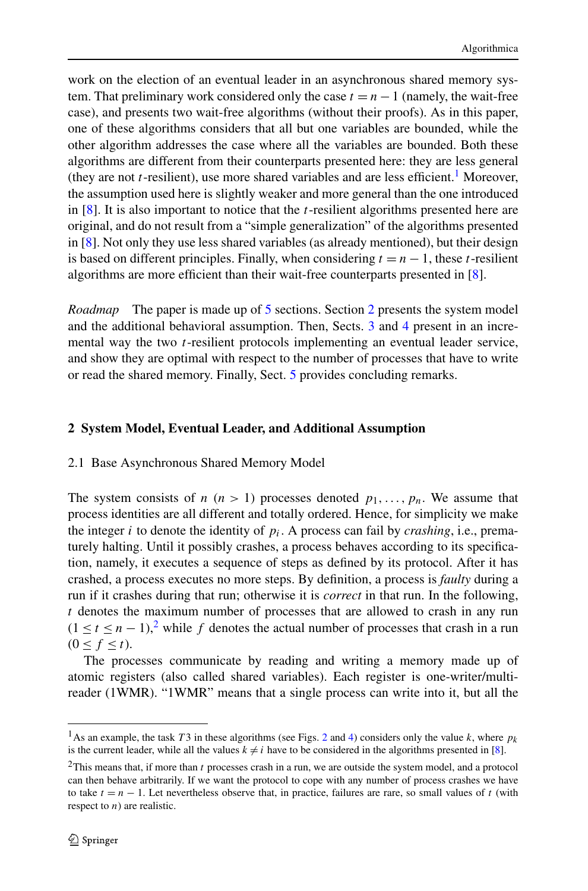work on the election of an eventual leader in an asynchronous shared memory system. That preliminary work considered only the case  $t = n - 1$  (namely, the wait-free case), and presents two wait-free algorithms (without their proofs). As in this paper, one of these algorithms considers that all but one variables are bounded, while the other algorithm addresses the case where all the variables are bounded. Both these algorithms are different from their counterparts presented here: they are less general (they are not  $t$ -resilient), use more shared variables and are less efficient.<sup>1</sup> Moreover, the assumption used here is slightly weaker and more general than the one introduced in [[8\]](#page-25-0). It is also important to notice that the *t*-resilient algorithms presented here are original, and do not result from a "simple generalization" of the algorithms presented in [[8\]](#page-25-0). Not only they use less shared variables (as already mentioned), but their design is based on different principles. Finally, when considering  $t = n - 1$ , these *t*-resilient algorithms are more efficient than their wait-free counterparts presented in [\[8](#page-25-0)].

*Roadmap* The paper is made up of [5](#page-24-0) sections. Section 2 presents the system model and the additional behavioral assumption. Then, Sects. [3](#page-10-0) and [4](#page-19-0) present in an incremental way the two *t*-resilient protocols implementing an eventual leader service, and show they are optimal with respect to the number of processes that have to write or read the shared memory. Finally, Sect. [5](#page-24-0) provides concluding remarks.

## **2 System Model, Eventual Leader, and Additional Assumption**

## 2.1 Base Asynchronous Shared Memory Model

The system consists of *n* ( $n > 1$ ) processes denoted  $p_1, \ldots, p_n$ . We assume that process identities are all different and totally ordered. Hence, for simplicity we make the integer *i* to denote the identity of *pi*. A process can fail by *crashing*, i.e., prematurely halting. Until it possibly crashes, a process behaves according to its specification, namely, it executes a sequence of steps as defined by its protocol. After it has crashed, a process executes no more steps. By definition, a process is *faulty* during a run if it crashes during that run; otherwise it is *correct* in that run. In the following, *t* denotes the maximum number of processes that are allowed to crash in any run  $(1 \le t \le n - 1)$ ,<sup>2</sup> while *f* denotes the actual number of processes that crash in a run  $(0 < f < t).$ 

The processes communicate by reading and writing a memory made up of atomic registers (also called shared variables). Each register is one-writer/multireader (1WMR). "1WMR" means that a single process can write into it, but all the

<sup>&</sup>lt;sup>1</sup>As an example, the task *T* 3 in these algorithms (see Figs. [2](#page-11-0) and [4\)](#page-23-0) considers only the value *k*, where  $p_k$ is the current leader, while all the values  $k \neq i$  have to be considered in the algorithms presented in [\[8](#page-25-0)].

<sup>2</sup>This means that, if more than *t* processes crash in a run, we are outside the system model, and a protocol can then behave arbitrarily. If we want the protocol to cope with any number of process crashes we have to take  $t = n - 1$ . Let nevertheless observe that, in practice, failures are rare, so small values of  $t$  (with respect to *n*) are realistic.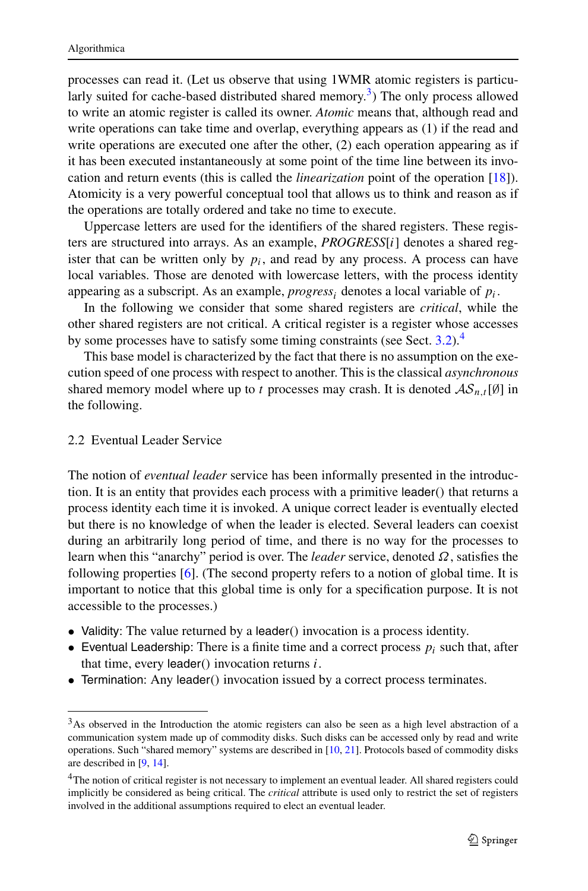processes can read it. (Let us observe that using 1WMR atomic registers is particularly suited for cache-based distributed shared memory.<sup>3</sup>) The only process allowed to write an atomic register is called its owner. *Atomic* means that, although read and write operations can take time and overlap, everything appears as (1) if the read and write operations are executed one after the other, (2) each operation appearing as if it has been executed instantaneously at some point of the time line between its invocation and return events (this is called the *linearization* point of the operation [\[18](#page-26-0)]). Atomicity is a very powerful conceptual tool that allows us to think and reason as if the operations are totally ordered and take no time to execute.

Uppercase letters are used for the identifiers of the shared registers. These registers are structured into arrays. As an example, *PROGRESS*[*i*] denotes a shared register that can be written only by  $p_i$ , and read by any process. A process can have local variables. Those are denoted with lowercase letters, with the process identity appearing as a subscript. As an example, *progress<sup>i</sup>* denotes a local variable of *pi*.

In the following we consider that some shared registers are *critical*, while the other shared registers are not critical. A critical register is a register whose accesses by some processes have to satisfy some timing constraints (see Sect. [3.2\)](#page-10-0).<sup>4</sup>

This base model is characterized by the fact that there is no assumption on the execution speed of one process with respect to another. This is the classical *asynchronous* shared memory model where up to *t* processes may crash. It is denoted  $\mathcal{AS}_{n,t}[\emptyset]$  in the following.

## 2.2 Eventual Leader Service

The notion of *eventual leader* service has been informally presented in the introduction. It is an entity that provides each process with a primitive leader*()* that returns a process identity each time it is invoked. A unique correct leader is eventually elected but there is no knowledge of when the leader is elected. Several leaders can coexist during an arbitrarily long period of time, and there is no way for the processes to learn when this "anarchy" period is over. The *leader* service, denoted *Ω*, satisfies the following properties [[6\]](#page-25-0). (The second property refers to a notion of global time. It is important to notice that this global time is only for a specification purpose. It is not accessible to the processes.)

- Validity: The value returned by a leader*()* invocation is a process identity.
- Eventual Leadership: There is a finite time and a correct process  $p_i$  such that, after that time, every leader*()* invocation returns *i*.
- Termination: Any leader*()* invocation issued by a correct process terminates.

<sup>&</sup>lt;sup>3</sup>As observed in the Introduction the atomic registers can also be seen as a high level abstraction of a communication system made up of commodity disks. Such disks can be accessed only by read and write operations. Such "shared memory" systems are described in [[10,](#page-25-0) [21\]](#page-26-0). Protocols based of commodity disks are described in [[9,](#page-25-0) [14\]](#page-26-0).

<sup>4</sup>The notion of critical register is not necessary to implement an eventual leader. All shared registers could implicitly be considered as being critical. The *critical* attribute is used only to restrict the set of registers involved in the additional assumptions required to elect an eventual leader.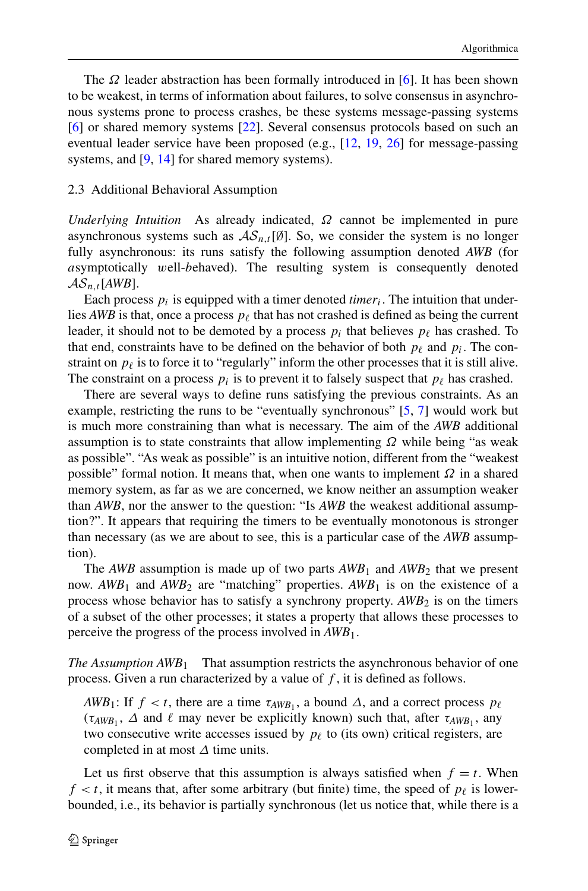<span id="page-7-0"></span>The *Ω* leader abstraction has been formally introduced in [\[6](#page-25-0)]. It has been shown to be weakest, in terms of information about failures, to solve consensus in asynchronous systems prone to process crashes, be these systems message-passing systems [\[6](#page-25-0)] or shared memory systems [\[22](#page-26-0)]. Several consensus protocols based on such an eventual leader service have been proposed (e.g., [\[12](#page-26-0), [19](#page-26-0), [26\]](#page-26-0) for message-passing systems, and [[9,](#page-25-0) [14](#page-26-0)] for shared memory systems).

### 2.3 Additional Behavioral Assumption

*Underlying Intuition* As already indicated, *Ω* cannot be implemented in pure asynchronous systems such as  $\mathcal{AS}_{n,t}[\emptyset]$ . So, we consider the system is no longer fully asynchronous: its runs satisfy the following assumption denoted *AWB* (for *a*symptotically *w*ell-*b*ehaved). The resulting system is consequently denoted  $AS_{n,t}[AWB]$ .

Each process  $p_i$  is equipped with a timer denoted *timer<sub>i</sub>*. The intuition that underlies *AWB* is that, once a process  $p_{\ell}$  that has not crashed is defined as being the current leader, it should not to be demoted by a process  $p_i$  that believes  $p_\ell$  has crashed. To that end, constraints have to be defined on the behavior of both  $p_\ell$  and  $p_i$ . The constraint on  $p_{\ell}$  is to force it to "regularly" inform the other processes that it is still alive. The constraint on a process  $p_i$  is to prevent it to falsely suspect that  $p_\ell$  has crashed.

There are several ways to define runs satisfying the previous constraints. As an example, restricting the runs to be "eventually synchronous" [[5,](#page-25-0) [7](#page-25-0)] would work but is much more constraining than what is necessary. The aim of the *AWB* additional assumption is to state constraints that allow implementing *Ω* while being "as weak as possible". "As weak as possible" is an intuitive notion, different from the "weakest possible" formal notion. It means that, when one wants to implement *Ω* in a shared memory system, as far as we are concerned, we know neither an assumption weaker than *AWB*, nor the answer to the question: "Is *AWB* the weakest additional assumption?". It appears that requiring the timers to be eventually monotonous is stronger than necessary (as we are about to see, this is a particular case of the *AWB* assumption).

The *AWB* assumption is made up of two parts *AWB*<sup>1</sup> and *AWB*<sup>2</sup> that we present now. *AWB*<sub>1</sub> and *AWB*<sub>2</sub> are "matching" properties. *AWB*<sub>1</sub> is on the existence of a process whose behavior has to satisfy a synchrony property.  $AWB<sub>2</sub>$  is on the timers of a subset of the other processes; it states a property that allows these processes to perceive the progress of the process involved in *AWB*1.

*The Assumption AWB*<sup>1</sup> That assumption restricts the asynchronous behavior of one process. Given a run characterized by a value of *f* , it is defined as follows.

*AWB*<sub>1</sub>: If  $f < t$ , there are a time  $\tau_{AWB_1}$ , a bound  $\Delta$ , and a correct process  $p_{\ell}$  $(\tau_{AWB_1}, \Delta \text{ and } \ell \text{ may never be explicitly known})$  such that, after  $\tau_{AWB_1}$ , any two consecutive write accesses issued by  $p_{\ell}$  to (its own) critical registers, are completed in at most *Δ* time units.

Let us first observe that this assumption is always satisfied when  $f = t$ . When  $f < t$ , it means that, after some arbitrary (but finite) time, the speed of  $p_\ell$  is lowerbounded, i.e., its behavior is partially synchronous (let us notice that, while there is a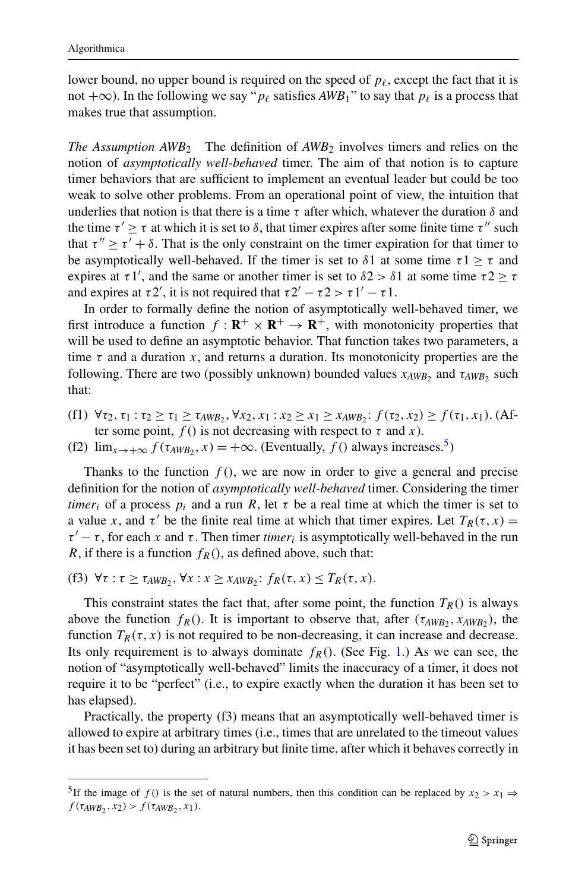lower bound, no upper bound is required on the speed of  $p_\ell$ , except the fact that it is not  $+\infty$ ). In the following we say " $p_\ell$  satisfies  $AWB_1$ " to say that  $p_\ell$  is a process that makes true that assumption.

*The Assumption AWB*<sub>2</sub> The definition of *AWB*<sub>2</sub> involves timers and relies on the notion of *asymptotically well-behaved* timer. The aim of that notion is to capture timer behaviors that are sufficient to implement an eventual leader but could be too weak to solve other problems. From an operational point of view, the intuition that underlies that notion is that there is a time  $τ$  after which, whatever the duration  $δ$  and the time  $\tau$  >  $\tau$  at which it is set to  $\delta$ , that timer expires after some finite time  $\tau$ <sup>"</sup> such that  $\tau'' \geq \tau' + \delta$ . That is the only constraint on the timer expiration for that timer to be asymptotically well-behaved. If the timer is set to  $\delta$ 1 at some time  $\tau$ 1  $\geq \tau$  and expires at  $\tau$ 1', and the same or another timer is set to  $\delta$ 2 >  $\delta$ 1 at some time  $\tau$ 2  $\geq \tau$ and expires at  $\tau 2'$ , it is not required that  $\tau 2' - \tau 2 > \tau 1' - \tau 1$ .

In order to formally define the notion of asymptotically well-behaved timer, we first introduce a function  $f: \mathbb{R}^+ \times \mathbb{R}^+ \to \mathbb{R}^+$ , with monotonicity properties that will be used to define an asymptotic behavior. That function takes two parameters, a time  $\tau$  and a duration  $x$ , and returns a duration. Its monotonicity properties are the following. There are two (possibly unknown) bounded values  $x_{AWB_2}$  and  $\tau_{AWB_2}$  such that:

 $(f1) \forall \tau_2, \tau_1 : \tau_2 \geq \tau_1 \geq \tau_4 w B_2, \forall x_2, x_1 : x_2 \geq x_1 \geq x_A w B_2 : f(\tau_2, x_2) \geq f(\tau_1, x_1)$ . (After some point,  $f()$  is not decreasing with respect to  $\tau$  and  $x)$ .

(f2)  $\lim_{x\to+\infty} f(\tau_{AWB_2}, x) = +\infty$ . (Eventually,  $f()$  always increases.<sup>5</sup>)

Thanks to the function  $f()$ , we are now in order to give a general and precise definition for the notion of *asymptotically well-behaved* timer. Considering the timer *timer<sub>i</sub>* of a process  $p_i$  and a run  $R$ , let  $\tau$  be a real time at which the timer is set to a value *x*, and  $\tau'$  be the finite real time at which that timer expires. Let  $T_R(\tau, x) =$  $\tau' - \tau$ , for each *x* and  $\tau$ . Then timer *timer<sub>i</sub>* is asymptotically well-behaved in the run *R*, if there is a function  $f_R()$ , as defined above, such that:

(f3)  $\forall \tau : \tau \geq \tau_{AWB_2}, \forall x : x \geq x_{AWB_2}: f_R(\tau, x) \leq T_R(\tau, x).$ 

This constraint states the fact that, after some point, the function  $T_R()$  is always above the function  $f_R()$ . It is important to observe that, after  $(\tau_{AWB_2}, x_{AWB_2})$ , the function  $T_R(\tau, x)$  is not required to be non-decreasing, it can increase and decrease. Its only requirement is to always dominate  $f_R$ (). (See Fig. [1](#page-9-0).) As we can see, the notion of "asymptotically well-behaved" limits the inaccuracy of a timer, it does not require it to be "perfect" (i.e., to expire exactly when the duration it has been set to has elapsed).

Practically, the property (f3) means that an asymptotically well-behaved timer is allowed to expire at arbitrary times (i.e., times that are unrelated to the timeout values it has been set to) during an arbitrary but finite time, after which it behaves correctly in

<sup>&</sup>lt;sup>5</sup>If the image of *f*() is the set of natural numbers, then this condition can be replaced by  $x_2 > x_1 \Rightarrow$  $f(\tau_{AWB_2}, x_2) > f(\tau_{AWB_2}, x_1)$ .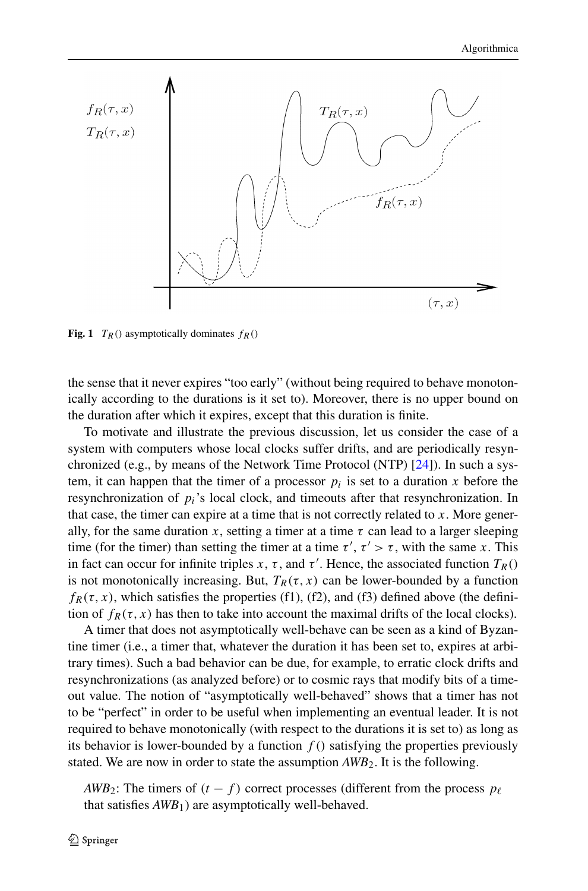<span id="page-9-0"></span>

**Fig. 1**  $T_R$ () asymptotically dominates  $f_R$ ()

the sense that it never expires "too early" (without being required to behave monotonically according to the durations is it set to). Moreover, there is no upper bound on the duration after which it expires, except that this duration is finite.

To motivate and illustrate the previous discussion, let us consider the case of a system with computers whose local clocks suffer drifts, and are periodically resynchronized (e.g., by means of the Network Time Protocol (NTP) [[24\]](#page-26-0)). In such a system, it can happen that the timer of a processor  $p_i$  is set to a duration x before the resynchronization of *pi*'s local clock, and timeouts after that resynchronization. In that case, the timer can expire at a time that is not correctly related to *x*. More generally, for the same duration *x*, setting a timer at a time  $\tau$  can lead to a larger sleeping time (for the timer) than setting the timer at a time  $\tau'$ ,  $\tau' > \tau$ , with the same *x*. This in fact can occur for infinite triples *x*,  $\tau$ , and  $\tau'$ . Hence, the associated function  $T_R()$ is not monotonically increasing. But,  $T_R(\tau, x)$  can be lower-bounded by a function  $f_R(\tau, x)$ , which satisfies the properties (f1), (f2), and (f3) defined above (the definition of  $f_R(\tau, x)$  has then to take into account the maximal drifts of the local clocks).

A timer that does not asymptotically well-behave can be seen as a kind of Byzantine timer (i.e., a timer that, whatever the duration it has been set to, expires at arbitrary times). Such a bad behavior can be due, for example, to erratic clock drifts and resynchronizations (as analyzed before) or to cosmic rays that modify bits of a timeout value. The notion of "asymptotically well-behaved" shows that a timer has not to be "perfect" in order to be useful when implementing an eventual leader. It is not required to behave monotonically (with respect to the durations it is set to) as long as its behavior is lower-bounded by a function  $f()$  satisfying the properties previously stated. We are now in order to state the assumption  $AWB<sub>2</sub>$ . It is the following.

*AWB*<sub>2</sub>: The timers of  $(t - f)$  correct processes (different from the process  $p_{\ell}$ that satisfies  $AWB_1$ ) are asymptotically well-behaved.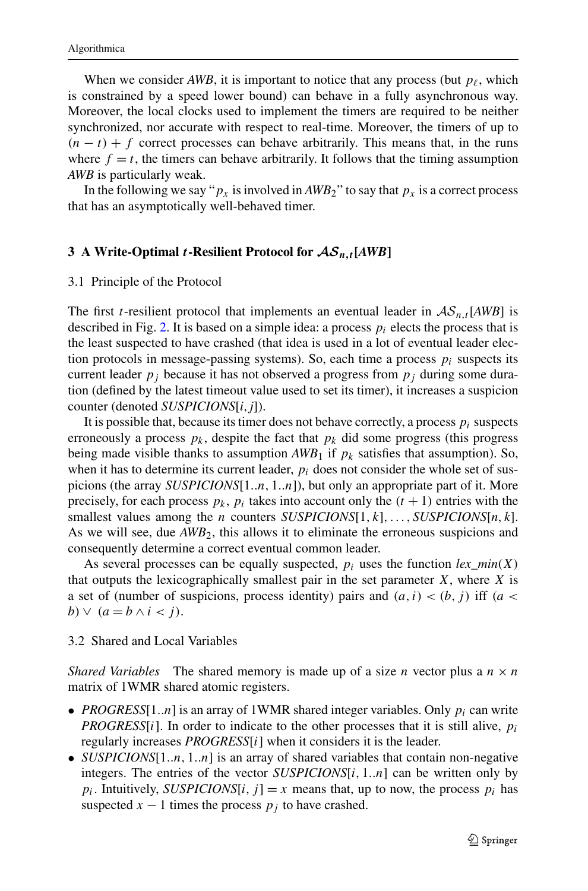<span id="page-10-0"></span>When we consider *AWB*, it is important to notice that any process (but  $p_{\ell}$ , which is constrained by a speed lower bound) can behave in a fully asynchronous way. Moreover, the local clocks used to implement the timers are required to be neither synchronized, nor accurate with respect to real-time. Moreover, the timers of up to  $(n - t) + f$  correct processes can behave arbitrarily. This means that, in the runs where  $f = t$ , the timers can behave arbitrarily. It follows that the timing assumption *AWB* is particularly weak.

In the following we say " $p_x$  is involved in  $AWB_2$ " to say that  $p_x$  is a correct process that has an asymptotically well-behaved timer.

### **3** A Write-Optimal *t*-Resilient Protocol for  $AS_{n,t}[AWB]$

#### 3.1 Principle of the Protocol

The first *t*-resilient protocol that implements an eventual leader in  $AS_{n,t}[AWB]$  is described in Fig. [2](#page-11-0). It is based on a simple idea: a process  $p_i$  elects the process that is the least suspected to have crashed (that idea is used in a lot of eventual leader election protocols in message-passing systems). So, each time a process  $p_i$  suspects its current leader  $p_j$  because it has not observed a progress from  $p_j$  during some duration (defined by the latest timeout value used to set its timer), it increases a suspicion counter (denoted *SUSPICIONS*[*i,j*]).

It is possible that, because its timer does not behave correctly, a process  $p_i$  suspects erroneously a process  $p_k$ , despite the fact that  $p_k$  did some progress (this progress being made visible thanks to assumption  $AWB<sub>1</sub>$  if  $p<sub>k</sub>$  satisfies that assumption). So, when it has to determine its current leader,  $p_i$  does not consider the whole set of suspicions (the array *SUSPICIONS*[1*..n,* 1*..n*]), but only an appropriate part of it. More precisely, for each process  $p_k$ ,  $p_i$  takes into account only the  $(t + 1)$  entries with the smallest values among the *n* counters *SUSPICIONS*[1*,k*]*,..., SUSPICIONS*[*n, k*]. As we will see, due *AWB*2, this allows it to eliminate the erroneous suspicions and consequently determine a correct eventual common leader.

As several processes can be equally suspected,  $p_i$  uses the function  $lex\_min(X)$ that outputs the lexicographically smallest pair in the set parameter *X*, where *X* is a set of (number of suspicions, process identity) pairs and  $(a, i) < (b, j)$  iff  $(a <$ *b*) ∨  $(a = b \land i < j)$ .

#### 3.2 Shared and Local Variables

*Shared Variables* The shared memory is made up of a size *n* vector plus a  $n \times n$ matrix of 1WMR shared atomic registers.

- *PROGRESS*[1.*n*] is an array of 1WMR shared integer variables. Only  $p_i$  can write *PROGRESS* $[i]$ . In order to indicate to the other processes that it is still alive,  $p_i$ regularly increases *PROGRESS*[*i*] when it considers it is the leader.
- *SUSPICIONS*[1*..n,* 1*..n*] is an array of shared variables that contain non-negative integers. The entries of the vector *SUSPICIONS*[*i,* 1*..n*] can be written only by  $p_i$ . Intuitively, *SUSPICIONS* $[i, j] = x$  means that, up to now, the process  $p_i$  has suspected  $x - 1$  times the process  $p_j$  to have crashed.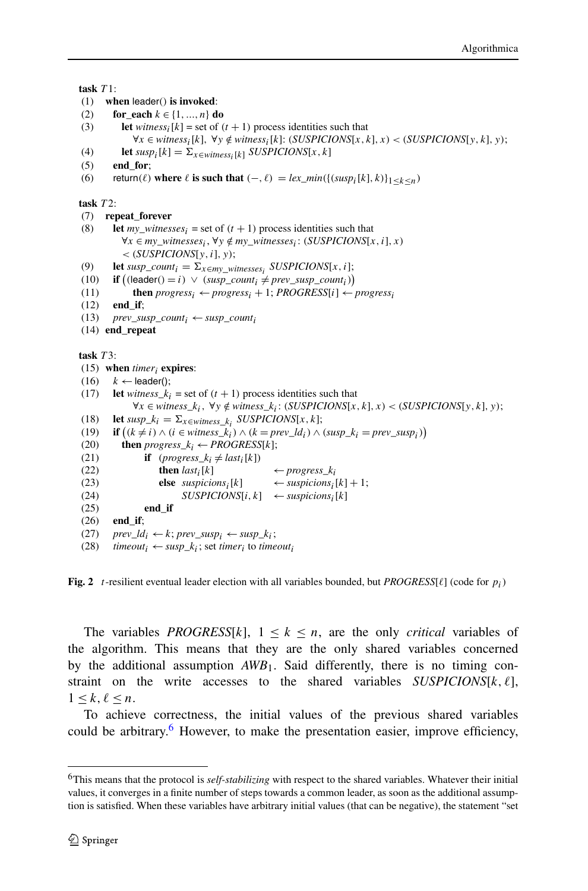<span id="page-11-0"></span>**task** *T* 1: (1) **when** leader*()* **is invoked**: (2) **for\_each** *k* ∈ {1*,...,n*} **do** (3) **let** *witness<sub>i</sub>*[ $k$ ] = set of  $(t + 1)$  process identities such that  $∀x ∈ witness<sub>i</sub>[k], ∀y ∉ witness<sub>i</sub>[k]: (SUSPICIONS[x, k], x) < (SUSPICIONS[y, k], y);$ (4) **let**  $susp_i[k] = \sum_{x \in witness_i[k]} SUSPICIONS[x, k]$ <br>(5) **end for:** end for: (6) return( $\ell$ ) where  $\ell$  is such that  $(-, \ell) = \text{lex} \min(\{(susp_i[k], k)\}_{1 \leq k \leq n})$ **task** *T* 2: (7) **repeat\_forever** (8) **let**  $my\_witnesses_i$  = set of  $(t + 1)$  process identities such that ∀*x* ∈ *my*\_*witnessesi*, ∀*y /*∈ *my*\_*witnessesi*: *(SUSPICIONS*[*x,i*]*,x) < (SUSPICIONS*[*y,i*]*,y)*; (9) **let** *susp\_count*<sub>i</sub> =  $\Sigma_{x \in mv}$  *witnessesi SUSPICIONS*[*x, i*];  $(10)$  $((\text{leader}(i) = i) \lor (\text{susp\_count}_i \neq \text{prev\_susp\_count}_i))$ (11) **then**  $progress_i \leftarrow progress_i + 1; PROGRESS[i] \leftarrow progress_i$ <br>(12) **end if:** end if:  $(13)$  *prev\_susp\_count<sub>i</sub>* ← *susp\_count<sub>i</sub>* (14) **end\_repeat task** *T* 3: (15) **when** *timeri* **expires**:  $(16)$   $k \leftarrow$  leader(); (17) **let** *witness*  $k_i$  = set of  $(t + 1)$  process identities such that  $∀x ∈ witness_k_i, ∀y ∉ witness_k_i: (SUSPICIONS[x, k], x) < (SUSPICIONS[y, k], y);$ (18) **let**  $susp_k_i = \sum_{x \in witness_k} k_i$  *SUSPICIONS*[*x, k*];  $(19)$  $((k \neq i) \land (i \in \text{witness\_}k_i) \land (k = \text{prev\_}ld_i) \land (\text{susp\_}k_i = \text{prev\_susp}_i))$ (20) **then** *progress\_k<sub>i</sub>* ← *PROGRESS*[*k*];<br>(21) **if** (*progress*  $k_i \neq last_i[k]$ ) (21) **if**  $(progress_k_i \neq last_i[k])$ <br>(22) **iten**  $last_i[k]$ (22) **then**  $last_i[k] \leftarrow progress_k[i]$ <br>(23) **else** suspicions<sub>*i*</sub>[ $k$ ]  $\leftarrow$  suspicions<sub>*i*</sub>] (23) **else**  $\text{surpicions}_i[k] \leftarrow \text{surpicions}_i[k] + 1;$ <br>(24)  $\text{SUBPCIONS}[i, k] \leftarrow \text{surpicions}_i[k]$ (24)  $SUSPICIONS[i, k] \leftarrow suspicious_i[k]$ <br>(25) **end if** (25) **end\_if** (26) **end\_if**; (27)  $prev\_ld_i \leftarrow k; prev\_susp_i \leftarrow susp\_k_i;$ <br>(28)  $timeout \leftarrow susp\ k: set timer; to time$  $timeout_i \leftarrow \text{susp } k_i$ ; set *timer<sub>i</sub>* to *timeout<sub>i</sub>* 

**Fig. 2** *t*-resilient eventual leader election with all variables bounded, but *PROGRESS*[ $\ell$ ] (code for  $p_i$ )

The variables *PROGRESS* $[k]$ ,  $1 \leq k \leq n$ , are the only *critical* variables of the algorithm. This means that they are the only shared variables concerned by the additional assumption *AWB*1. Said differently, there is no timing constraint on the write accesses to the shared variables  $SUSPICIONS[k, l]$ ,  $1 \leq k, \ell \leq n$ .

To achieve correctness, the initial values of the previous shared variables could be arbitrary.<sup>6</sup> However, to make the presentation easier, improve efficiency,

<sup>6</sup>This means that the protocol is *self-stabilizing* with respect to the shared variables. Whatever their initial values, it converges in a finite number of steps towards a common leader, as soon as the additional assumption is satisfied. When these variables have arbitrary initial values (that can be negative), the statement "set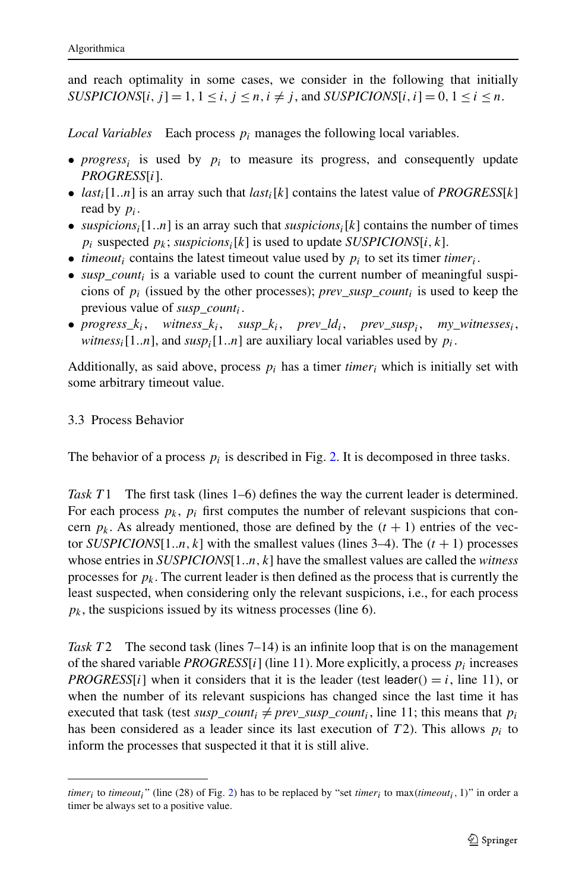and reach optimality in some cases, we consider in the following that initially *SUSPICIONS* $[i, j] = 1, 1 \le i, j \le n, i \ne j$ , and *SUSPICIONS* $[i, i] = 0, 1 \le i \le n$ .

*Local Variables* Each process  $p_i$  manages the following local variables.

- *progress<sub>i</sub>* is used by  $p_i$  to measure its progress, and consequently update *PROGRESS*[*i*].
- *lasti*[1*..n*] is an array such that *lasti*[*k*] contains the latest value of *PROGRESS*[*k*] read by *pi*.
- *suspicions<sub>i</sub>*[1*.n*] is an array such that *suspicions<sub>i</sub>*[*k*] contains the number of times  $p_i$  suspected  $p_k$ ; *suspicions*<sup> $i$ </sup>[ $k$ ] is used to update *SUSPICIONS*[ $i$ ,  $k$ ].
- *timeout<sub>i</sub>* contains the latest timeout value used by  $p_i$  to set its timer *timer<sub>i</sub>*.
- *susp\_count<sub>i</sub>* is a variable used to count the current number of meaningful suspicions of  $p_i$  (issued by the other processes); *prev\_susp\_count<sub>i</sub>* is used to keep the previous value of *susp*\_*counti*.
- *progress*<sub> $k_i$ </sub>, *witness*<sub> $k_i$ </sub>, *susp*<sub> $k_i$ </sub>, *prev*<sub>\_</sub>*ld*<sub>*i*</sub>, *prev*<sub>\_</sub>*susp*<sub>*i*</sub>, *my*\_*witnesses*<sub>*i*</sub>, *witness<sub>i</sub>*[1*..n*], and *susp<sub>i</sub>*[1*..n*] are auxiliary local variables used by  $p_i$ .

Additionally, as said above, process  $p_i$  has a timer *timer<sub>i</sub>* which is initially set with some arbitrary timeout value.

## 3.3 Process Behavior

The behavior of a process  $p_i$  is described in Fig. [2](#page-11-0). It is decomposed in three tasks.

*Task T* 1 The first task (lines 1–6) defines the way the current leader is determined. For each process  $p_k$ ,  $p_i$  first computes the number of relevant suspicions that concern  $p_k$ . As already mentioned, those are defined by the  $(t + 1)$  entries of the vector *SUSPICIONS* $[1..n, k]$  with the smallest values (lines 3–4). The  $(t + 1)$  processes whose entries in *SUSPICIONS*[1*..n,k*] have the smallest values are called the *witness* processes for  $p_k$ . The current leader is then defined as the process that is currently the least suspected, when considering only the relevant suspicions, i.e., for each process  $p_k$ , the suspicions issued by its witness processes (line 6).

*Task* **T**2 The second task (lines 7–14) is an infinite loop that is on the management of the shared variable  $PROGRES[i]$  (line 11). More explicitly, a process  $p_i$  increases *PROGRESS* $[i]$  when it considers that it is the leader (test leader() = *i*, line 11), or when the number of its relevant suspicions has changed since the last time it has executed that task (test *susp\_count<sub>i</sub>*  $\neq prev\_susp\_count_i$ , line 11; this means that  $p_i$ has been considered as a leader since its last execution of  $T2$ ). This allows  $p_i$  to inform the processes that suspected it that it is still alive.

*timer<sub>i</sub>* to *timeout<sub>i</sub>* " (line (28) of Fig. [2\)](#page-11-0) has to be replaced by "set *timer<sub>i</sub>* to max(*timeout<sub>i</sub>*, 1)" in order a timer be always set to a positive value.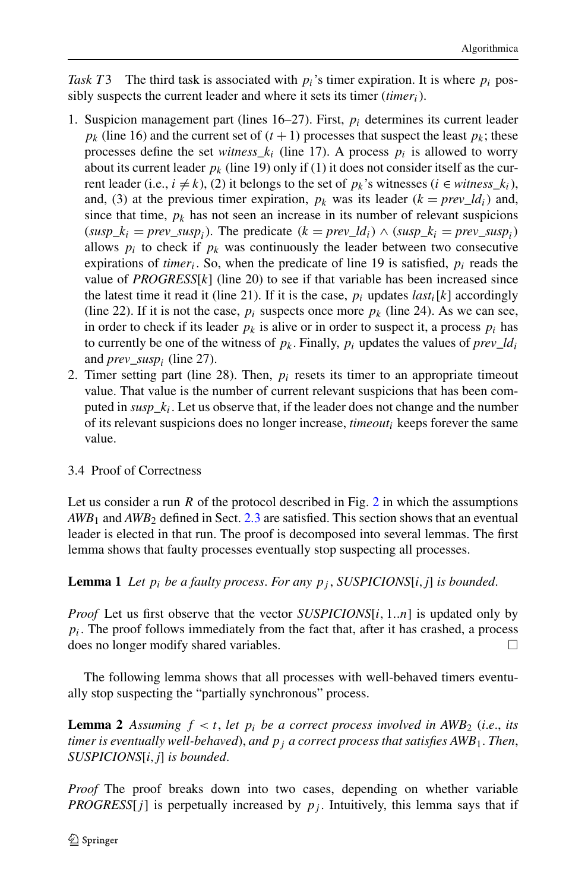<span id="page-13-0"></span>*Task*  $T3$  The third task is associated with  $p_i$ 's timer expiration. It is where  $p_i$  possibly suspects the current leader and where it sets its timer (*timeri*).

- 1. Suspicion management part (lines  $16-27$ ). First,  $p_i$  determines its current leader  $p_k$  (line 16) and the current set of  $(t + 1)$  processes that suspect the least  $p_k$ ; these processes define the set *witness*  $k_i$  (line 17). A process  $p_i$  is allowed to worry about its current leader  $p_k$  (line 19) only if (1) it does not consider itself as the current leader (i.e.,  $i \neq k$ ), (2) it belongs to the set of  $p_k$ 's witnesses ( $i \in \text{witness}_k$ ), and, (3) at the previous timer expiration,  $p_k$  was its leader  $(k = prev\_ld_i)$  and, since that time,  $p_k$  has not seen an increase in its number of relevant suspicions  $(susp_k_i = prev\_susp_i)$ . The predicate  $(k = prev\_ld_i) \wedge (susp_k_i = prev\_susp_i)$ allows  $p_i$  to check if  $p_k$  was continuously the leader between two consecutive expirations of *timeri*. So, when the predicate of line 19 is satisfied, *pi* reads the value of  $PROGRESS[k]$  (line 20) to see if that variable has been increased since the latest time it read it (line 21). If it is the case,  $p_i$  updates  $last_i[k]$  accordingly (line 22). If it is not the case,  $p_i$  suspects once more  $p_k$  (line 24). As we can see, in order to check if its leader  $p_k$  is alive or in order to suspect it, a process  $p_i$  has to currently be one of the witness of  $p_k$ . Finally,  $p_i$  updates the values of *prev*<sub> $\lfloor d_i \rfloor$ </sub> and *prev*\_*susp<sup>i</sup>* (line 27).
- 2. Timer setting part (line 28). Then, *pi* resets its timer to an appropriate timeout value. That value is the number of current relevant suspicions that has been computed in  $susp_k$ . Let us observe that, if the leader does not change and the number of its relevant suspicions does no longer increase, *timeout<sup>i</sup>* keeps forever the same value.

## 3.4 Proof of Correctness

Let us consider a run *R* of the protocol described in Fig. [2](#page-11-0) in which the assumptions *AWB*<sup>1</sup> and *AWB*<sup>2</sup> defined in Sect. [2.3](#page-7-0) are satisfied. This section shows that an eventual leader is elected in that run. The proof is decomposed into several lemmas. The first lemma shows that faulty processes eventually stop suspecting all processes.

## **Lemma 1** Let  $p_i$  be a faulty process. For any  $p_i$ , *SUSPICIONS* $[i, j]$  is bounded.

*Proof* Let us first observe that the vector *SUSPICIONS*[*i,* 1*..n*] is updated only by  $p_i$ . The proof follows immediately from the fact that, after it has crashed, a process does no longer modify shared variables.

The following lemma shows that all processes with well-behaved timers eventually stop suspecting the "partially synchronous" process.

**Lemma 2** Assuming  $f < t$ , let  $p_i$  be a correct process involved in AWB<sub>2</sub> (*i.e.*, *its timer is eventually well-behaved*), *and pj a correct process that satisfies AWB*1. *Then*, *SUSPICIONS*[*i,j*] *is bounded*.

*Proof* The proof breaks down into two cases, depending on whether variable *PROGRESS* $[i]$  is perpetually increased by  $p_j$ . Intuitively, this lemma says that if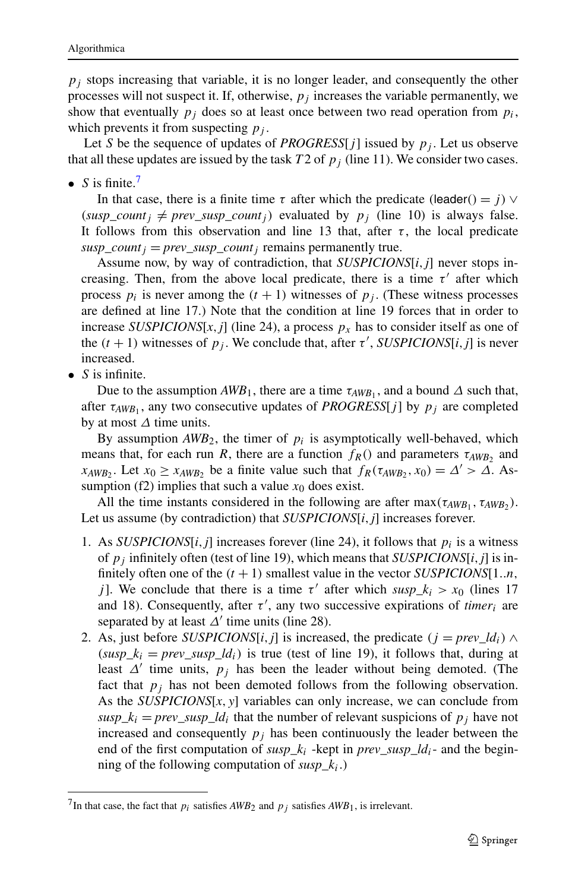$p_i$  stops increasing that variable, it is no longer leader, and consequently the other processes will not suspect it. If, otherwise,  $p_j$  increases the variable permanently, we show that eventually  $p_i$  does so at least once between two read operation from  $p_i$ , which prevents it from suspecting  $p_i$ .

Let *S* be the sequence of updates of *PROGRESS* $[j]$  issued by  $p_j$ . Let us observe that all these updates are issued by the task  $T2$  of  $p_j$  (line 11). We consider two cases.

• *S* is finite.<sup>7</sup>

In that case, there is a finite time  $\tau$  after which the predicate *(leader()* = *j)*  $\vee$  $(susp\_count_i \neq prev\_susp\_count_i)$  evaluated by  $p_i$  (line 10) is always false. It follows from this observation and line 13 that, after  $\tau$ , the local predicate  $susp\_count_i = prev\_susp\_count_i$  remains permanently true.

Assume now, by way of contradiction, that *SUSPICIONS*[*i,j*] never stops increasing. Then, from the above local predicate, there is a time  $\tau'$  after which process  $p_i$  is never among the  $(t + 1)$  witnesses of  $p_i$ . (These witness processes are defined at line 17.) Note that the condition at line 19 forces that in order to increase *SUSPICIONS* $[x, j]$  (line 24), a process  $p_x$  has to consider itself as one of the  $(t + 1)$  witnesses of  $p_j$ . We conclude that, after  $\tau'$ , *SUSPICIONS*[*i*, *j*] is never increased.

• *S* is infinite.

Due to the assumption  $AWB_1$ , there are a time  $τ_{AWB_1}$ , and a bound  $Δ$  such that, after  $\tau_{AWB_1}$ , any two consecutive updates of *PROGRESS*[*j*] by  $p_j$  are completed by at most *Δ* time units.

By assumption  $AWB_2$ , the timer of  $p_i$  is asymptotically well-behaved, which means that, for each run *R*, there are a function  $f_R$ () and parameters  $\tau_{AWB_2}$  and *x*<sub>*AWB*<sub>2</sub></sub>. Let  $x_0 \ge x_{AWB_2}$  be a finite value such that  $f_R(\tau_{AWB_2}, x_0) = \Delta' > \Delta$ . Assumption (f2) implies that such a value  $x_0$  does exist.

All the time instants considered in the following are after  $\max(\tau_{AWB_1}, \tau_{AWB_2})$ . Let us assume (by contradiction) that *SUSPICIONS*[*i,j*] increases forever.

- 1. As *SUSPICIONS* $[i, j]$  increases forever (line 24), it follows that  $p_i$  is a witness of *pj* infinitely often (test of line 19), which means that *SUSPICIONS*[*i,j*] is infinitely often one of the  $(t + 1)$  smallest value in the vector *SUSPICIONS*[1*.m*, *j*]. We conclude that there is a time  $\tau'$  after which  $susp_k$   $> x_0$  (lines 17 and 18). Consequently, after τ', any two successive expirations of *timer<sub>i</sub>* are separated by at least  $\Delta'$  time units (line 28).
- 2. As, just before *SUSPICIONS*[*i*, *j*] is increased, the predicate  $(j = prev\_ld_i) \wedge$  $(susp_k_i = prev_susp_k_i)$  is true (test of line 19), it follows that, during at least  $\Delta'$  time units,  $p_i$  has been the leader without being demoted. (The fact that  $p_i$  has not been demoted follows from the following observation. As the *SUSPICIONS*[*x, y*] variables can only increase, we can conclude from  $susp_k = prev\_susp_k d_i$  that the number of relevant suspicions of  $p_i$  have not increased and consequently  $p_j$  has been continuously the leader between the end of the first computation of  $susp_k$  -kept in *prev\_susp\_ld<sub>i</sub>*- and the beginning of the following computation of  $susp_k$ .)

<sup>&</sup>lt;sup>7</sup>In that case, the fact that  $p_i$  satisfies  $AWB_2$  and  $p_j$  satisfies  $AWB_1$ , is irrelevant.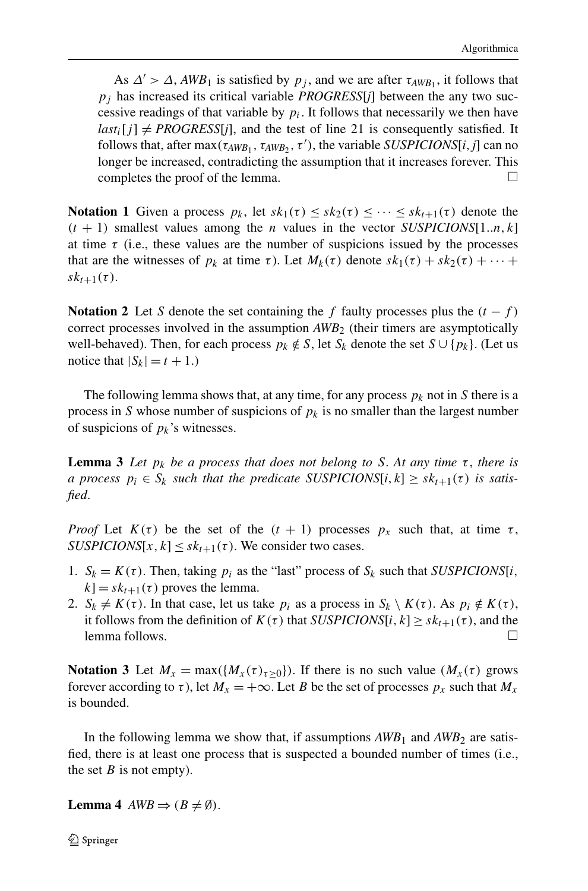<span id="page-15-0"></span>As  $\Delta' > \Delta$ , *AWB*<sub>1</sub> is satisfied by  $p_j$ , and we are after  $\tau_{AWB_1}$ , it follows that  $p_i$  has increased its critical variable *PROGRESS*[*j*] between the any two successive readings of that variable by  $p_i$ . It follows that necessarily we then have  $last_i[j] \neq PROGRESS[j]$ , and the test of line 21 is consequently satisfied. It follows that, after max*(τAWB*<sup>1</sup> *,τAWB*<sup>2</sup> *,τ )*, the variable *SUSPICIONS*[*i,j*] can no longer be increased, contradicting the assumption that it increases forever. This completes the proof of the lemma.  $\Box$ 

**Notation 1** Given a process  $p_k$ , let  $sk_1(\tau) \leq sk_2(\tau) \leq \cdots \leq sk_{t+1}(\tau)$  denote the  $(t + 1)$  smallest values among the *n* values in the vector *SUSPICIONS*[1*.n,k*] at time  $\tau$  (i.e., these values are the number of suspicions issued by the processes that are the witnesses of  $p_k$  at time  $\tau$ ). Let  $M_k(\tau)$  denote  $sk_1(\tau) + sk_2(\tau) + \cdots$  $sk_{t+1}(\tau)$ .

**Notation 2** Let *S* denote the set containing the *f* faulty processes plus the  $(t - f)$ correct processes involved in the assumption *AWB*<sup>2</sup> (their timers are asymptotically well-behaved). Then, for each process  $p_k \notin S$ , let  $S_k$  denote the set  $S \cup \{p_k\}$ . (Let us notice that  $|S_k| = t + 1$ .

The following lemma shows that, at any time, for any process  $p_k$  not in *S* there is a process in *S* whose number of suspicions of  $p_k$  is no smaller than the largest number of suspicions of  $p_k$ 's witnesses.

**Lemma 3** *Let*  $p_k$  *be a process that does not belong to S*. At any time  $\tau$ , there is *a process*  $p_i \in S_k$  *such that the predicate SUSPICIONS* $[i, k] \geq sk_{t+1}(\tau)$  *is satisfied*.

*Proof* Let  $K(\tau)$  be the set of the  $(t + 1)$  processes  $p_x$  such that, at time  $\tau$ , *SUSPICIONS*[ $x, k$ ]  $\leq$   $sk_{t+1}(\tau)$ . We consider two cases.

- 1.  $S_k = K(\tau)$ . Then, taking  $p_i$  as the "last" process of  $S_k$  such that *SUSPICIONS*[*i*,  $k$ ] =  $sk_{t+1}(\tau)$  proves the lemma.
- 2.  $S_k \neq K(\tau)$ . In that case, let us take  $p_i$  as a process in  $S_k \setminus K(\tau)$ . As  $p_i \notin K(\tau)$ , it follows from the definition of  $K(\tau)$  that *SUSPICIONS*[*i*,  $k$ ]  $\geq s k_{t+1}(\tau)$ , and the lemma follows. □

**Notation 3** Let  $M_x = \max({M_x(\tau)_{\tau \geq 0}})$ . If there is no such value  $(M_x(\tau))$  grows forever according to  $\tau$ ), let  $M_x = +\infty$ . Let *B* be the set of processes  $p_x$  such that  $M_x$ is bounded.

In the following lemma we show that, if assumptions  $AWB_1$  and  $AWB_2$  are satisfied, there is at least one process that is suspected a bounded number of times (i.e., the set  $B$  is not empty).

**Lemma 4**  $AWB \Rightarrow (B \neq \emptyset)$ .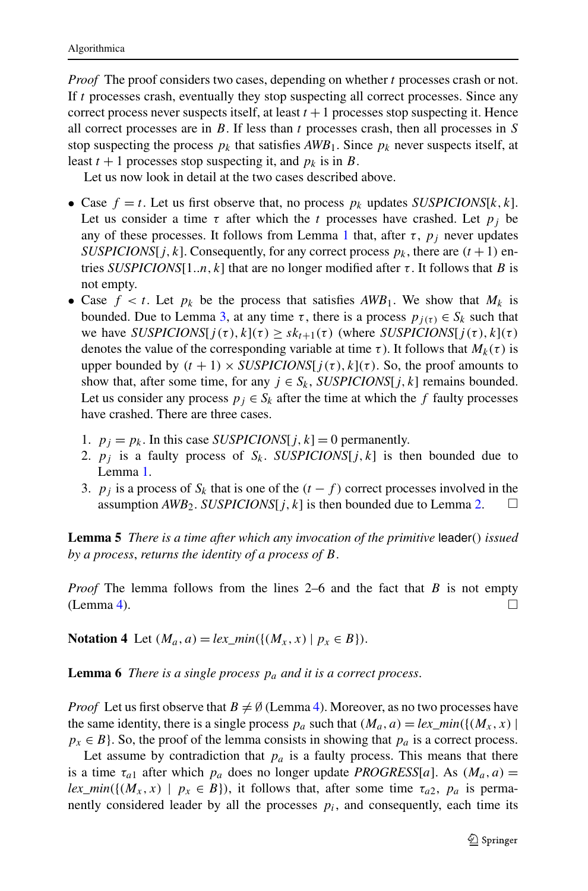<span id="page-16-0"></span>*Proof* The proof considers two cases, depending on whether *t* processes crash or not. If *t* processes crash, eventually they stop suspecting all correct processes. Since any correct process never suspects itself, at least  $t + 1$  processes stop suspecting it. Hence all correct processes are in *B*. If less than *t* processes crash, then all processes in *S* stop suspecting the process  $p_k$  that satisfies  $AWB_1$ . Since  $p_k$  never suspects itself, at least  $t + 1$  processes stop suspecting it, and  $p_k$  is in *B*.

Let us now look in detail at the two cases described above.

- Case  $f = t$ . Let us first observe that, no process  $p_k$  updates *SUSPICIONS*[ $k, k$ ]. Let us consider a time  $\tau$  after which the *t* processes have crashed. Let  $p_i$  be any of these processes. It follows from Lemma [1](#page-13-0) that, after  $\tau$ ,  $p_j$  never updates *SUSPICIONS* $[i, k]$ . Consequently, for any correct process  $p_k$ , there are  $(t + 1)$  entries *SUSPICIONS* $[1..n, k]$  that are no longer modified after  $\tau$ . It follows that *B* is not empty.
- Case  $f < t$ . Let  $p_k$  be the process that satisfies  $AWB_1$ . We show that  $M_k$  is bounded. Due to Lemma [3](#page-15-0), at any time *τ*, there is a process  $p_{i(τ)}$  ∈  $S_k$  such that we have *SUSPICIONS* $[j(\tau), k](\tau) \geq sk_{t+1}(\tau)$  (where *SUSPICIONS* $[j(\tau), k](\tau)$ ) denotes the value of the corresponding variable at time  $\tau$ ). It follows that  $M_k(\tau)$  is upper bounded by  $(t + 1) \times SUSPICIONS[j(\tau), k](\tau)$ . So, the proof amounts to show that, after some time, for any  $j \in S_k$ , *SUSPICIONS*[*j*, *k*] remains bounded. Let us consider any process  $p_j \in S_k$  after the time at which the *f* faulty processes have crashed. There are three cases.
	- 1.  $p_i = p_k$ . In this case *SUSPICIONS* $[j, k] = 0$  permanently.
	- 2.  $p_j$  is a faulty process of  $S_k$ . *SUSPICIONS*[*j, k*] is then bounded due to Lemma [1](#page-13-0).
	- 3. *p<sub>j</sub>* is a process of  $S_k$  that is one of the  $(t f)$  correct processes involved in the assumption  $AWB_2$ .  $SUSPICIONS[j, k]$  is then bounded due to Lemma [2.](#page-13-0)  $\square$

**Lemma 5** *There is a time after which any invocation of the primitive* leader*() issued by a process*, *returns the identity of a process of B*.

*Proof* The lemma follows from the lines 2–6 and the fact that *B* is not empty  $(Lemma 4)$  $(Lemma 4)$  $(Lemma 4)$ .

**Notation 4** Let  $(M_a, a) = lex\_min({{(M_x, x) | p_x \in B})}$ .

**Lemma 6** *There is a single process pa and it is a correct process*.

*Proof* Let us first observe that  $B \neq \emptyset$  (Lemma [4](#page-15-0)). Moreover, as no two processes have the same identity, there is a single process  $p_a$  such that  $(M_a, a) = lex\_min({{(M_x, x)} |$  $p_x \in B$ . So, the proof of the lemma consists in showing that  $p_a$  is a correct process.

Let assume by contradiction that  $p_a$  is a faulty process. This means that there is a time  $\tau_{a1}$  after which  $p_a$  does no longer update *PROGRESS*[*a*]. As  $(M_a, a)$  = *lex\_min*({ $(M_x, x)$  |  $p_x \in B$ }), it follows that, after some time  $\tau_{a2}$ ,  $p_a$  is permanently considered leader by all the processes  $p_i$ , and consequently, each time its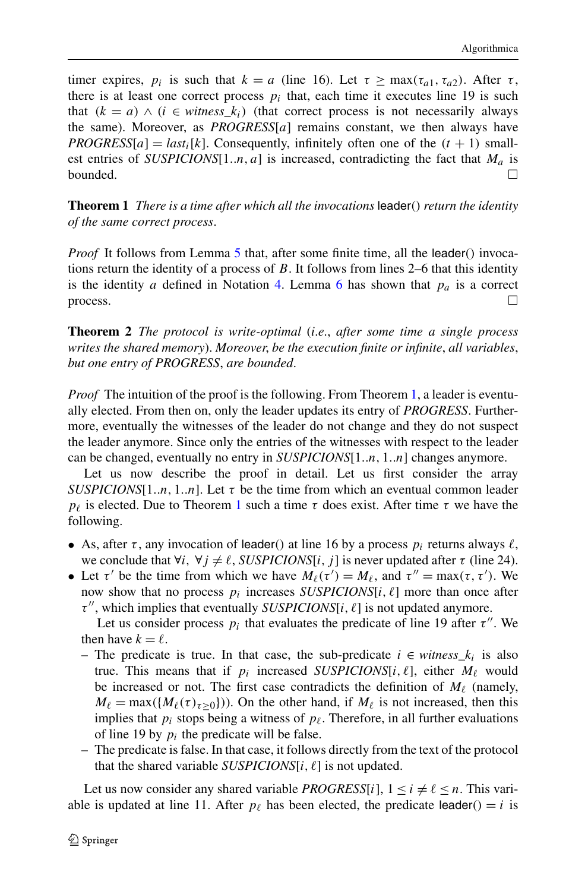<span id="page-17-0"></span>timer expires,  $p_i$  is such that  $k = a$  (line 16). Let  $\tau \ge \max(\tau_{a1}, \tau_{a2})$ . After  $\tau$ , there is at least one correct process  $p_i$  that, each time it executes line 19 is such that  $(k = a) \wedge (i \in \text{witness } k_i)$  (that correct process is not necessarily always the same). Moreover, as *PROGRESS*[*a*] remains constant, we then always have *PROGRESS*[ $a$ ] =  $last_i[k]$ . Consequently, infinitely often one of the  $(t + 1)$  smallest entries of *SUSPICIONS*[1*..n,a*] is increased, contradicting the fact that *Ma* is bounded.  $\Box$ 

**Theorem 1** *There is a time after which all the invocations* leader*() return the identity of the same correct process*.

*Proof* It follows from Lemma [5](#page-16-0) that, after some finite time, all the leader*()* invocations return the identity of a process of *B*. It follows from lines 2–6 that this identity is the identity *a* defined in Notation [4](#page-16-0). Lemma [6](#page-16-0) has shown that  $p_a$  is a correct  $\Box$ 

**Theorem 2** *The protocol is write-optimal* (*i*.*e*., *after some time a single process writes the shared memory*). *Moreover*, *be the execution finite or infinite*, *all variables*, *but one entry of PROGRESS*, *are bounded*.

*Proof* The intuition of the proof is the following. From Theorem 1, a leader is eventually elected. From then on, only the leader updates its entry of *PROGRESS*. Furthermore, eventually the witnesses of the leader do not change and they do not suspect the leader anymore. Since only the entries of the witnesses with respect to the leader can be changed, eventually no entry in *SUSPICIONS*[1*..n,* 1*..n*] changes anymore.

Let us now describe the proof in detail. Let us first consider the array *SUSPICIONS*[1*.n,* 1*.n*]. Let  $\tau$  be the time from which an eventual common leader *p*<sub>l</sub> is elected. Due to Theorem 1 such a time  $\tau$  does exist. After time  $\tau$  we have the following.

- As, after  $\tau$ , any invocation of leader() at line 16 by a process  $p_i$  returns always  $\ell$ , we conclude that  $\forall i$ ,  $\forall j \neq \ell$ , *SUSPICIONS*[*i*, *j*] is never updated after  $\tau$  (line 24).
- Let  $\tau'$  be the time from which we have  $M_\ell(\tau') = M_\ell$ , and  $\tau'' = \max(\tau, \tau')$ . We now show that no process  $p_i$  increases *SUSPICIONS* $[i, \ell]$  more than once after *τ*<sup>"</sup>, which implies that eventually *SUSPICIONS*[*i*,  $\ell$ ] is not updated anymore.

Let us consider process  $p_i$  that evaluates the predicate of line 19 after  $\tau''$ . We then have  $k = \ell$ .

- The predicate is true. In that case, the sub-predicate *i* ∈ *witness*\_*ki* is also true. This means that if  $p_i$  increased *SUSPICIONS*[*i*,  $\ell$ ], either  $M_{\ell}$  would be increased or not. The first case contradicts the definition of  $M_{\ell}$  (namely,  $M_{\ell} = \max({M_{\ell}(\tau)_{\tau>0}})$ . On the other hand, if  $M_{\ell}$  is not increased, then this implies that  $p_i$  stops being a witness of  $p_\ell$ . Therefore, in all further evaluations of line 19 by  $p_i$  the predicate will be false.
- The predicate is false. In that case, it follows directly from the text of the protocol that the shared variable *SUSPICIONS* $[i, \ell]$  is not updated.

Let us now consider any shared variable *PROGRESS*[*i*],  $1 \le i \ne \ell \le n$ . This variable is updated at line 11. After  $p_\ell$  has been elected, the predicate leader() = *i* is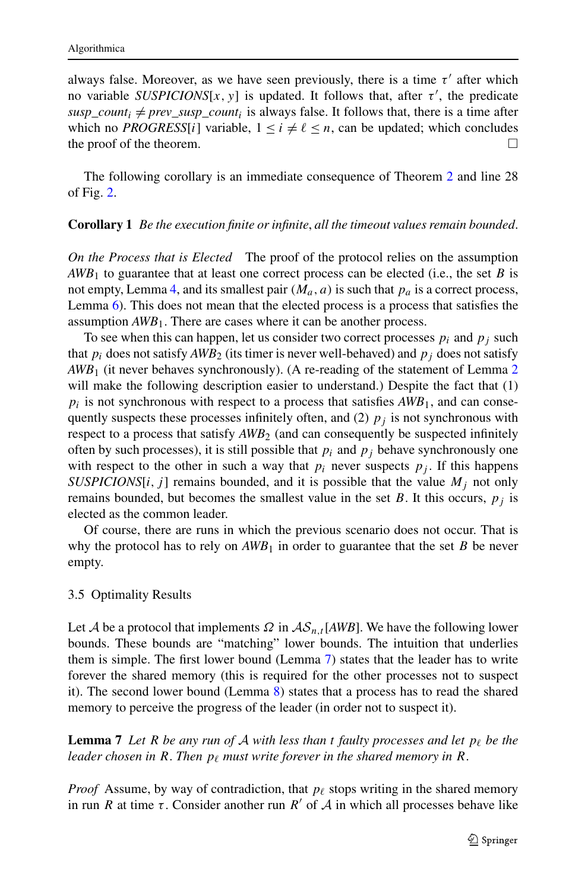<span id="page-18-0"></span>always false. Moreover, as we have seen previously, there is a time  $\tau'$  after which no variable *SUSPICIONS*[*x,y*] is updated. It follows that, after *τ* , the predicate  $susp\_count_i \neq prev\_susp\_count_i$  is always false. It follows that, there is a time after which no *PROGRESS*[*i*] variable,  $1 \le i \ne \ell \le n$ , can be updated; which concludes the proof of the theorem.

The following corollary is an immediate consequence of Theorem [2](#page-17-0) and line 28 of Fig. [2.](#page-11-0)

#### **Corollary 1** *Be the execution finite or infinite*, *all the timeout values remain bounded*.

*On the Process that is Elected* The proof of the protocol relies on the assumption  $AWB<sub>1</sub>$  to guarantee that at least one correct process can be elected (i.e., the set *B* is not empty, Lemma [4](#page-15-0), and its smallest pair  $(M_a, a)$  is such that  $p_a$  is a correct process, Lemma [6\)](#page-16-0). This does not mean that the elected process is a process that satisfies the assumption *AWB*1. There are cases where it can be another process.

To see when this can happen, let us consider two correct processes  $p_i$  and  $p_j$  such that  $p_i$  does not satisfy  $AWB_2$  (its timer is never well-behaved) and  $p_j$  does not satisfy *AWB*<sup>1</sup> (it never behaves synchronously). (A re-reading of the statement of Lemma [2](#page-13-0) will make the following description easier to understand.) Despite the fact that  $(1)$  $p_i$  is not synchronous with respect to a process that satisfies  $AWB_1$ , and can consequently suspects these processes infinitely often, and (2)  $p_j$  is not synchronous with respect to a process that satisfy  $AWB_2$  (and can consequently be suspected infinitely often by such processes), it is still possible that  $p_i$  and  $p_j$  behave synchronously one with respect to the other in such a way that  $p_i$  never suspects  $p_i$ . If this happens *SUSPICIONS* $[i, j]$  remains bounded, and it is possible that the value  $M_j$  not only remains bounded, but becomes the smallest value in the set  $B$ . It this occurs,  $p_j$  is elected as the common leader.

Of course, there are runs in which the previous scenario does not occur. That is why the protocol has to rely on  $AWB_1$  in order to guarantee that the set *B* be never empty.

#### 3.5 Optimality Results

Let A be a protocol that implements  $\Omega$  in  $\mathcal{AS}_{n,t}[AWB]$ . We have the following lower bounds. These bounds are "matching" lower bounds. The intuition that underlies them is simple. The first lower bound (Lemma 7) states that the leader has to write forever the shared memory (this is required for the other processes not to suspect it). The second lower bound (Lemma [8](#page-19-0)) states that a process has to read the shared memory to perceive the progress of the leader (in order not to suspect it).

**Lemma 7** Let R be any run of A with less than t faulty processes and let  $p_{\ell}$  be the *leader chosen in R*. *Then p must write forever in the shared memory in R*.

*Proof* Assume, by way of contradiction, that  $p_\ell$  stops writing in the shared memory in run *R* at time  $\tau$ . Consider another run *R'* of *A* in which all processes behave like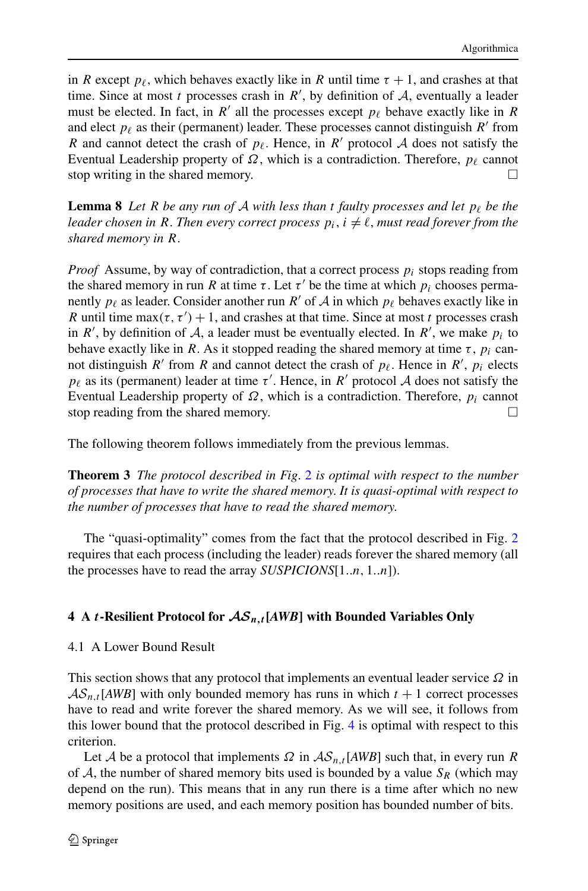<span id="page-19-0"></span>in *R* except  $p_\ell$ , which behaves exactly like in *R* until time  $\tau + 1$ , and crashes at that time. Since at most  $t$  processes crash in  $R'$ , by definition of  $A$ , eventually a leader must be elected. In fact, in  $R'$  all the processes except  $p_\ell$  behave exactly like in  $R$ and elect  $p_f$  as their (permanent) leader. These processes cannot distinguish  $R'$  from *R* and cannot detect the crash of  $p_\ell$ . Hence, in *R'* protocol *A* does not satisfy the Eventual Leadership property of  $Ω$ , which is a contradiction. Therefore,  $p_\ell$  cannot stop writing in the shared memory.

**Lemma 8** Let R be any run of A with less than t faulty processes and let  $p_f$  be the *leader chosen in R*. *Then every correct process*  $p_i$ ,  $i \neq \ell$ , *must read forever from the shared memory in R*.

*Proof* Assume, by way of contradiction, that a correct process  $p_i$  stops reading from the shared memory in run *R* at time  $\tau$ . Let  $\tau'$  be the time at which  $p_i$  chooses permanently  $p_{\ell}$  as leader. Consider another run  $R'$  of  $A$  in which  $p_{\ell}$  behaves exactly like in *R* until time max $(\tau, \tau') + 1$ , and crashes at that time. Since at most *t* processes crash in  $R'$ , by definition of  $A$ , a leader must be eventually elected. In  $R'$ , we make  $p_i$  to behave exactly like in *R*. As it stopped reading the shared memory at time  $\tau$ ,  $p_i$  cannot distinguish *R'* from *R* and cannot detect the crash of  $p_\ell$ . Hence in *R'*,  $p_i$  elects  $p_{\ell}$  as its (permanent) leader at time  $\tau'$ . Hence, in *R'* protocol *A* does not satisfy the Eventual Leadership property of *Ω*, which is a contradiction. Therefore, *pi* cannot stop reading from the shared memory.

The following theorem follows immediately from the previous lemmas.

**Theorem 3** *The protocol described in Fig*. [2](#page-11-0) *is optimal with respect to the number of processes that have to write the shared memory*. *It is quasi-optimal with respect to the number of processes that have to read the shared memory*.

The "quasi-optimality" comes from the fact that the protocol described in Fig. [2](#page-11-0) requires that each process (including the leader) reads forever the shared memory (all the processes have to read the array *SUSPICIONS*[1*..n,* 1*..n*]).

## **4 A** *t***-Resilient Protocol for** *ASn,t***[***AWB***] with Bounded Variables Only**

4.1 A Lower Bound Result

This section shows that any protocol that implements an eventual leader service *Ω* in  $AS_{n,t}[AWB]$  with only bounded memory has runs in which  $t + 1$  correct processes have to read and write forever the shared memory. As we will see, it follows from this lower bound that the protocol described in Fig. [4](#page-23-0) is optimal with respect to this criterion.

Let A be a protocol that implements  $\Omega$  in  $\mathcal{AS}_{n,t}[AWB]$  such that, in every run R of A, the number of shared memory bits used is bounded by a value  $S_R$  (which may depend on the run). This means that in any run there is a time after which no new memory positions are used, and each memory position has bounded number of bits.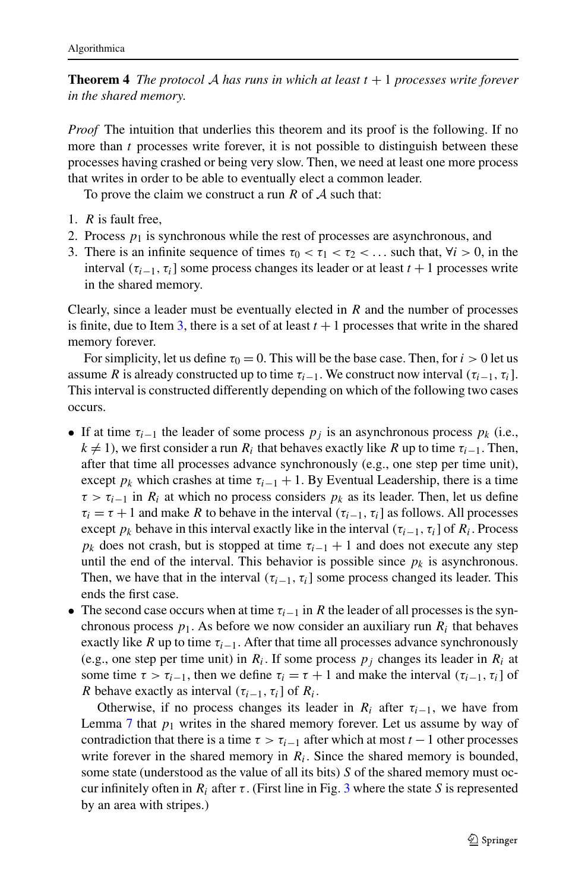<span id="page-20-0"></span>**Theorem 4** *The protocol* A *has runs in which at least t* + 1 *processes write forever in the shared memory*.

*Proof* The intuition that underlies this theorem and its proof is the following. If no more than *t* processes write forever, it is not possible to distinguish between these processes having crashed or being very slow. Then, we need at least one more process that writes in order to be able to eventually elect a common leader.

To prove the claim we construct a run  $R$  of  $\mathcal A$  such that:

- 1. *R* is fault free,
- 2. Process  $p_1$  is synchronous while the rest of processes are asynchronous, and
- 3. There is an infinite sequence of times  $\tau_0 < \tau_1 < \tau_2 < \ldots$  such that,  $\forall i > 0$ , in the interval  $(\tau_{i-1}, \tau_i)$  some process changes its leader or at least  $t + 1$  processes write in the shared memory.

Clearly, since a leader must be eventually elected in *R* and the number of processes is finite, due to Item 3, there is a set of at least  $t + 1$  processes that write in the shared memory forever.

For simplicity, let us define  $\tau_0 = 0$ . This will be the base case. Then, for  $i > 0$  let us assume *R* is already constructed up to time  $\tau_{i-1}$ . We construct now interval  $(\tau_{i-1}, \tau_i]$ . This interval is constructed differently depending on which of the following two cases occurs.

- If at time  $\tau_{i-1}$  the leader of some process  $p_i$  is an asynchronous process  $p_k$  (i.e.,  $k \neq 1$ ), we first consider a run  $R_i$  that behaves exactly like  $R$  up to time  $\tau_{i-1}$ . Then, after that time all processes advance synchronously (e.g., one step per time unit), except  $p_k$  which crashes at time  $\tau_{i-1}$  + 1. By Eventual Leadership, there is a time  $\tau > \tau_{i-1}$  in  $R_i$  at which no process considers  $p_k$  as its leader. Then, let us define  $\tau_i = \tau + 1$  and make *R* to behave in the interval  $(\tau_{i-1}, \tau_i]$  as follows. All processes except  $p_k$  behave in this interval exactly like in the interval  $(\tau_{i-1}, \tau_i)$  of  $R_i$ . Process *p<sub>k</sub>* does not crash, but is stopped at time  $\tau_{i-1} + 1$  and does not execute any step until the end of the interval. This behavior is possible since  $p_k$  is asynchronous. Then, we have that in the interval  $(\tau_{i-1}, \tau_i]$  some process changed its leader. This ends the first case.
- The second case occurs when at time  $\tau_{i-1}$  in *R* the leader of all processes is the synchronous process  $p_1$ . As before we now consider an auxiliary run  $R_i$  that behaves exactly like *R* up to time  $\tau_{i-1}$ . After that time all processes advance synchronously (e.g., one step per time unit) in  $R_i$ . If some process  $p_i$  changes its leader in  $R_i$  at some time  $\tau > \tau_{i-1}$ , then we define  $\tau_i = \tau + 1$  and make the interval  $(\tau_{i-1}, \tau_i]$  of *R* behave exactly as interval  $(\tau_{i-1}, \tau_i)$  of  $R_i$ .

Otherwise, if no process changes its leader in  $R_i$  after  $\tau_{i-1}$ , we have from Lemma [7](#page-18-0) that  $p_1$  writes in the shared memory forever. Let us assume by way of contradiction that there is a time  $\tau > \tau_{i-1}$  after which at most  $t-1$  other processes write forever in the shared memory in  $R_i$ . Since the shared memory is bounded, some state (understood as the value of all its bits) *S* of the shared memory must occur infinitely often in  $R_i$  after  $\tau$ . (First line in Fig. [3](#page-21-0) where the state *S* is represented by an area with stripes.)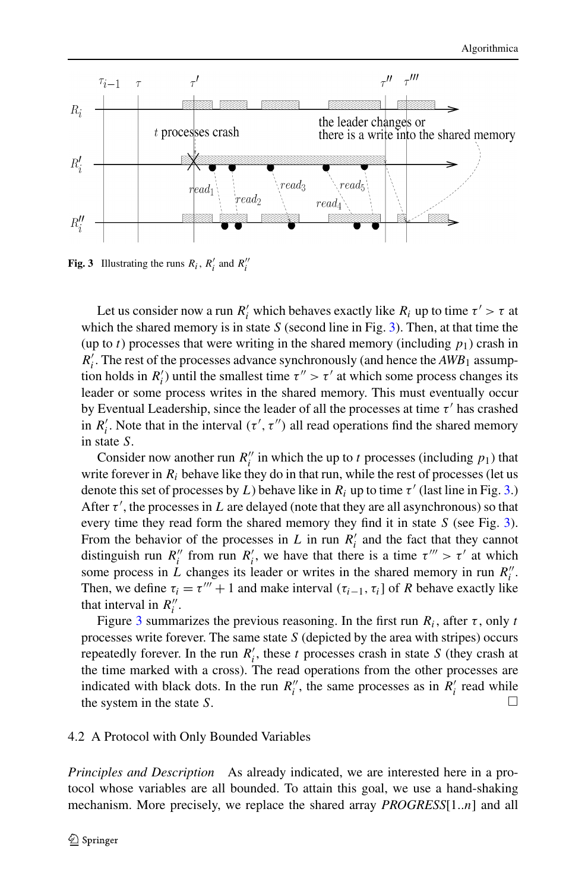<span id="page-21-0"></span>

**Fig. 3** Illustrating the runs  $R_i$ ,  $R'_i$  and  $R''_i$ 

Let us consider now a run  $R'_i$  which behaves exactly like  $R_i$  up to time  $\tau' > \tau$  at which the shared memory is in state  $S$  (second line in Fig. 3). Then, at that time the (up to *t*) processes that were writing in the shared memory (including  $p_1$ ) crash in  $R'_i$ . The rest of the processes advance synchronously (and hence the  $AWB_1$  assumption holds in  $R'_i$ ) until the smallest time  $\tau'' > \tau'$  at which some process changes its leader or some process writes in the shared memory. This must eventually occur by Eventual Leadership, since the leader of all the processes at time  $\tau'$  has crashed in  $R'_i$ . Note that in the interval  $(\tau', \tau'')$  all read operations find the shared memory in state *S*.

Consider now another run  $R_i''$  in which the up to *t* processes (including  $p_1$ ) that write forever in  $R_i$  behave like they do in that run, while the rest of processes (let us denote this set of processes by *L*) behave like in  $R_i$  up to time  $\tau'$  (last line in Fig. 3.) After  $\tau'$ , the processes in *L* are delayed (note that they are all asynchronous) so that every time they read form the shared memory they find it in state *S* (see Fig. 3). From the behavior of the processes in  $L$  in run  $R'_i$  and the fact that they cannot distinguish run *R''* from run *R'*<sub>i</sub>, we have that there is a time  $\tau''' > \tau'$  at which some process in  $\tilde{L}$  changes its leader or writes in the shared memory in run  $R_i''$ . Then, we define  $\tau_i = \tau'' + 1$  and make interval  $(\tau_{i-1}, \tau_i]$  of *R* behave exactly like that interval in  $R_i''$ .

Figure 3 summarizes the previous reasoning. In the first run  $R_i$ , after  $\tau$ , only  $t$ processes write forever. The same state *S* (depicted by the area with stripes) occurs repeatedly forever. In the run  $R'_i$ , these *t* processes crash in state *S* (they crash at the time marked with a cross). The read operations from the other processes are indicated with black dots. In the run  $R_i''$ , the same processes as in  $R_i'$  read while the system in the state  $S$ .

#### 4.2 A Protocol with Only Bounded Variables

*Principles and Description* As already indicated, we are interested here in a protocol whose variables are all bounded. To attain this goal, we use a hand-shaking mechanism. More precisely, we replace the shared array *PROGRESS*[1*..n*] and all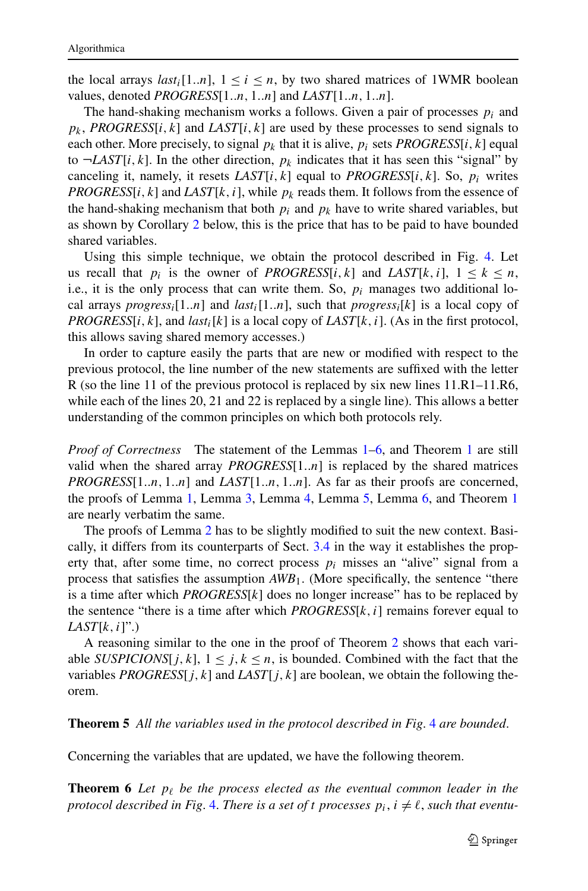the local arrays *last<sub>i</sub>*[1*.n*],  $1 \le i \le n$ , by two shared matrices of 1WMR boolean values, denoted *PROGRESS*[1*..n,* 1*..n*] and *LAST*[1*..n,* 1*..n*].

The hand-shaking mechanism works a follows. Given a pair of processes  $p_i$  and  $p_k$ , *PROGRESS* $[i, k]$  and *LAST* $[i, k]$  are used by these processes to send signals to each other. More precisely, to signal  $p_k$  that it is alive,  $p_i$  sets *PROGRESS* $[i, k]$  equal to  $\neg$ *LAST*[*i, k*]. In the other direction,  $p_k$  indicates that it has seen this "signal" by canceling it, namely, it resets  $LAST[i, k]$  equal to *PROGRESS* $[i, k]$ . So,  $p_i$  writes *PROGRESS* $[i, k]$  and *LAST* $[k, i]$ , while  $p_k$  reads them. It follows from the essence of the hand-shaking mechanism that both  $p_i$  and  $p_k$  have to write shared variables, but as shown by Corollary [2](#page-24-0) below, this is the price that has to be paid to have bounded shared variables.

Using this simple technique, we obtain the protocol described in Fig. [4](#page-23-0). Let us recall that  $p_i$  is the owner of *PROGRESS* $[i, k]$  and *LAST* $[k, i]$ ,  $1 \le k \le n$ , i.e., it is the only process that can write them. So,  $p_i$  manages two additional local arrays *progressi*[1*..n*] and *last*<sub>*i*</sub>[1*..n*], such that *progress*<sup>[k]</sup> is a local copy of *PROGRESS* $[i, k]$ , and  $last_i[k]$  is a local copy of *LAST* $[k, i]$ . (As in the first protocol, this allows saving shared memory accesses.)

In order to capture easily the parts that are new or modified with respect to the previous protocol, the line number of the new statements are suffixed with the letter R (so the line 11 of the previous protocol is replaced by six new lines 11.R1–11.R6, while each of the lines 20, 21 and 22 is replaced by a single line). This allows a better understanding of the common principles on which both protocols rely.

*Proof of Correctness* The statement of the Lemmas [1–](#page-13-0)[6,](#page-16-0) and Theorem [1](#page-17-0) are still valid when the shared array *PROGRESS*[1*..n*] is replaced by the shared matrices *PROGRESS*[1*..n,* 1*..n*] and *LAST*[1*..n,* 1*..n*]. As far as their proofs are concerned, the proofs of Lemma [1](#page-13-0), Lemma [3](#page-15-0), Lemma [4](#page-15-0), Lemma [5,](#page-16-0) Lemma [6,](#page-16-0) and Theorem [1](#page-17-0) are nearly verbatim the same.

The proofs of Lemma [2](#page-13-0) has to be slightly modified to suit the new context. Basically, it differs from its counterparts of Sect. [3.4](#page-13-0) in the way it establishes the property that, after some time, no correct process  $p_i$  misses an "alive" signal from a process that satisfies the assumption *AWB*1. (More specifically, the sentence "there is a time after which *PROGRESS*[*k*] does no longer increase" has to be replaced by the sentence "there is a time after which  $PROGRESS[k, i]$  remains forever equal to  $LAST[k,i]$ ".)

A reasoning similar to the one in the proof of Theorem [2](#page-17-0) shows that each variable *SUSPICIONS* $[j, k]$ ,  $1 \leq j, k \leq n$ , is bounded. Combined with the fact that the variables *PROGRESS* $[j, k]$  and *LAST* $[j, k]$  are boolean, we obtain the following theorem.

**Theorem 5** *All the variables used in the protocol described in Fig*. [4](#page-23-0) *are bounded*.

Concerning the variables that are updated, we have the following theorem.

**Theorem 6** Let  $p_{\ell}$  be the process elected as the eventual common leader in the *protocol described in Fig. [4](#page-23-0). There is a set of t processes*  $p_i$ ,  $i \neq \ell$ , such that eventu-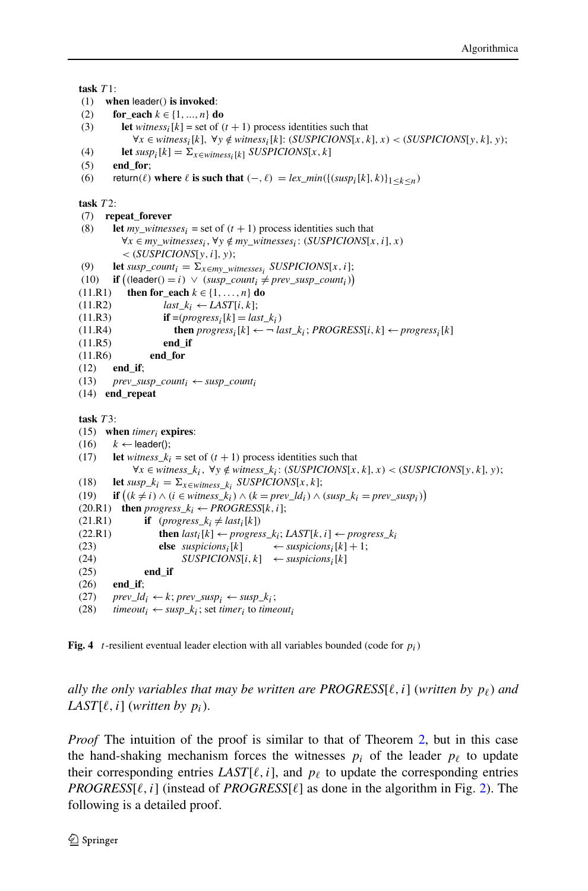```
task T 1:
(1) when leader() is invoked:
(2) for_each k ∈ {1,...,n} do
(3) let witness<sub>i</sub>[k] = set of (t + 1) process identities such that
                 ∀x ∈ witness<sub>i</sub>[k], ∀y ∉ witness<sub>i</sub>[k]: (SUBPICIONS[x, k], x) < (SUBPICIONS[y, k], y);(4) let susp_i[k] = \sum_{x \in witness_i[k]} SUSPICIONS[x, k]<br>(5) end for:
           end for:
(6) return(\ell) where \ell is such that (-, \ell) = lex\_min(\{(susp_i[k], k)\}_{1 \leq k \leq n})task T 2:
(7) repeat_forever
(8) let my\_witnesses_i = set of (t + 1) process identities such that
              ∀x ∈ my_witnessesi, ∀y /∈ my_witnessesi: (SUSPICIONS[x,i],x)
              < (SUSPICIONS[y,i],y);
(9) let susp_count<sub>i</sub> = \Sigma_{x \in mv} witnessesi SUSPICIONS[x, i];
(10)((\text{leader}(i) = i) \lor (\text{susp\_count}_i \neq \text{prev\_susp\_count}_i))(11.R1) then for_each k ∈ {1,...,n} do
(11.R2) last\_k_i \leftarrow LAST[i, k];<br>(11.R3) \qquad \qquad \textbf{if} = (progress_i[k]) = la;(11.R3) if = (progress_i[k] = last_k_i)<br>(11.R4) then progress<sub>i</sub>[k] \leftarrow \neg la
                           then progress_i[k] ← \neg last_k; PROGRESS[i, k] ← progress_i[k]<br>end_if
(11.R5)(11.R6) end_for
(12) end_if;
(13) prev_susp_count<sub>i</sub> \leftarrow susp_count<sub>i</sub>
(14) end_repeat
task T 3:
(15) when timeri expires:
(16) k \leftarrow leader();
(17) let witness k_i = set of (t + 1) process identities such that
                 ∀x ∈ witness_k_i, ∀y ∉ witness_k_i: (SUSPICIONS[x, k], x) < (SUSPICIONS[y, k], y);(18) let susp_k_i = \sum_{x \in witness_k} k_i SUSPICIONS[x, k];<br>(19) if ((k \neq i) \land (i \in witness_k) \land (k = prev_k | d_i) \land (i \neq j)i(f) if ((k \neq i) \land (i \in \text{witness\_}k_i) \land (k = \text{prev\_}ld_i) \land (susp\_k_i = \text{prev\_}susp_i)(20.R1) then progress_k_i \leftarrow PROGRESS[k, i];<br>(21.R1) if (progress_k \neq last_i[k])(21.R1) if (progress_k \neq last_i[k])<br>(22.R1) then last_i[k] \leftarrow progress(22.R1) then last_i[k] \leftarrow progress\_k_i; LAST[k, i] \leftarrow progress\_k_i<br>(23) else suspicions;[k] \leftarrow suspicions; [k] + 1;
(23) else \text{surpicions}_i[k] \leftarrow \text{surpicions}_i[k] + 1;<br>(24) \text{SUBPICIONS}[i, k] \leftarrow \text{surpicions}_i[k](24) SUSPICIONS[i, k] \leftarrow suspicious_i[k]<br>(25) end_if
                     end if
(26) end_if;
(27) prev\_ld_i \leftarrow k; prev\_susp_i \leftarrow susp\_k_i;<br>(28) timeout_i \leftarrow susp\_k_i; set timer_i \text{ to time}timeout_i \leftarrow \text{susp\_k_i}; set timer<sub>i</sub> to timeout<sub>i</sub>
```
**Fig. 4** *t*-resilient eventual leader election with all variables bounded (code for *pi*)

*ally the only variables that may be written are PROGRESS[* $\ell$ *, i] (written by*  $p_{\ell}$ *) and LAST* $[\ell, i]$  (*written by*  $p_i$ ).

*Proof* The intuition of the proof is similar to that of Theorem [2,](#page-17-0) but in this case the hand-shaking mechanism forces the witnesses  $p_i$  of the leader  $p_\ell$  to update their corresponding entries  $LAST[\ell,i]$ , and  $p_{\ell}$  to update the corresponding entries  $PROGRESS[I, i]$  (instead of *PROGRESS*[ $\ell$ ] as done in the algorithm in Fig. [2\)](#page-11-0). The following is a detailed proof.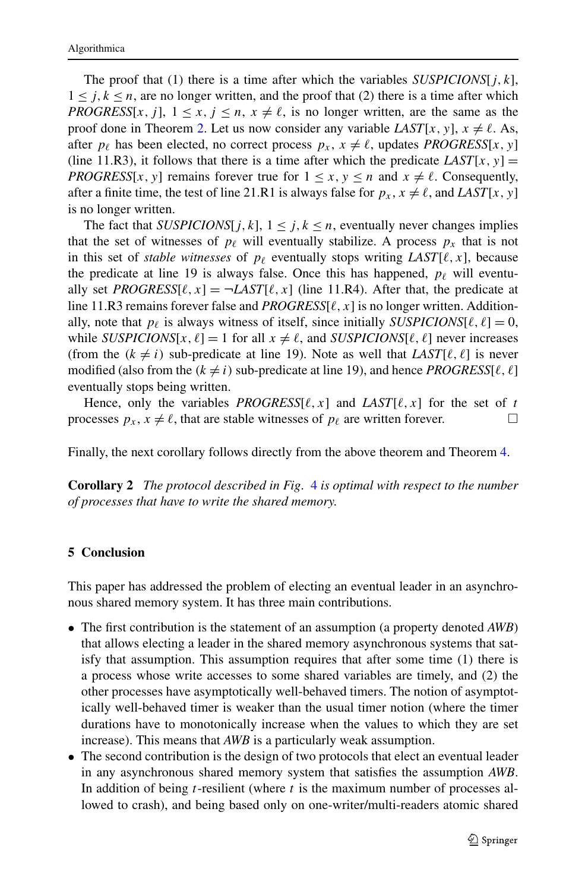<span id="page-24-0"></span>The proof that (1) there is a time after which the variables *SUSPICIONS*[*j,k*],  $1 \leq j, k \leq n$ , are no longer written, and the proof that (2) there is a time after which *PROGRESS*[ $x$ ,  $j$ ],  $1 \le x$ ,  $j \le n$ ,  $x \ne \ell$ , is no longer written, are the same as the proof done in Theorem [2](#page-17-0). Let us now consider any variable *LAST*[ $x$ ,  $y$ ],  $x \neq \ell$ . As, after  $p_\ell$  has been elected, no correct process  $p_x$ ,  $x \neq \ell$ , updates *PROGRESS*[*x*, *y*] (line 11.R3), it follows that there is a time after which the predicate  $LAST[x, y] =$ *PROGRESS*[ $x, y$ ] remains forever true for  $1 \le x, y \le n$  and  $x \ne \ell$ . Consequently, after a finite time, the test of line 21.R1 is always false for  $p_x$ ,  $x \neq \ell$ , and *LAST*[*x*, *y*] is no longer written.

The fact that *SUSPICIONS* $[j, k]$ ,  $1 \leq j, k \leq n$ , eventually never changes implies that the set of witnesses of  $p_\ell$  will eventually stabilize. A process  $p_x$  that is not in this set of *stable witnesses* of  $p_{\ell}$  eventually stops writing *LAST*[ $\ell$ ,  $x$ ], because the predicate at line 19 is always false. Once this has happened,  $p_{\ell}$  will eventually set *PROGRESS* $[\ell, x] = \neg \text{LAST}[\ell, x]$  (line 11.R4). After that, the predicate at line 11.R3 remains forever false and *PROGRESS* $[0, x]$  is no longer written. Additionally, note that  $p_{\ell}$  is always witness of itself, since initially *SUSPICIONS*[ $\ell$ ,  $\ell$ ] = 0, while *SUSPICIONS*[ $x, \ell$ ] = 1 for all  $x \neq \ell$ , and *SUSPICIONS*[ $\ell, \ell$ ] never increases (from the  $(k \neq i)$  sub-predicate at line 19). Note as well that *LAST*[ $\ell$ ,  $\ell$ ] is never modified (also from the  $(k \neq i)$  sub-predicate at line 19), and hence *PROGRESS*[ $\ell$ ,  $\ell$ ] eventually stops being written.

Hence, only the variables  $PROGRESS[\ell, x]$  and  $LAST[\ell, x]$  for the set of *t* processes  $p_x$ ,  $x \neq \ell$ , that are stable witnesses of  $p_\ell$  are written forever.

Finally, the next corollary follows directly from the above theorem and Theorem [4](#page-20-0).

**Corollary 2** *The protocol described in Fig*. [4](#page-23-0) *is optimal with respect to the number of processes that have to write the shared memory*.

## **5 Conclusion**

This paper has addressed the problem of electing an eventual leader in an asynchronous shared memory system. It has three main contributions.

- The first contribution is the statement of an assumption (a property denoted *AWB*) that allows electing a leader in the shared memory asynchronous systems that satisfy that assumption. This assumption requires that after some time (1) there is a process whose write accesses to some shared variables are timely, and (2) the other processes have asymptotically well-behaved timers. The notion of asymptotically well-behaved timer is weaker than the usual timer notion (where the timer durations have to monotonically increase when the values to which they are set increase). This means that *AWB* is a particularly weak assumption.
- The second contribution is the design of two protocols that elect an eventual leader in any asynchronous shared memory system that satisfies the assumption *AWB*. In addition of being *t*-resilient (where *t* is the maximum number of processes allowed to crash), and being based only on one-writer/multi-readers atomic shared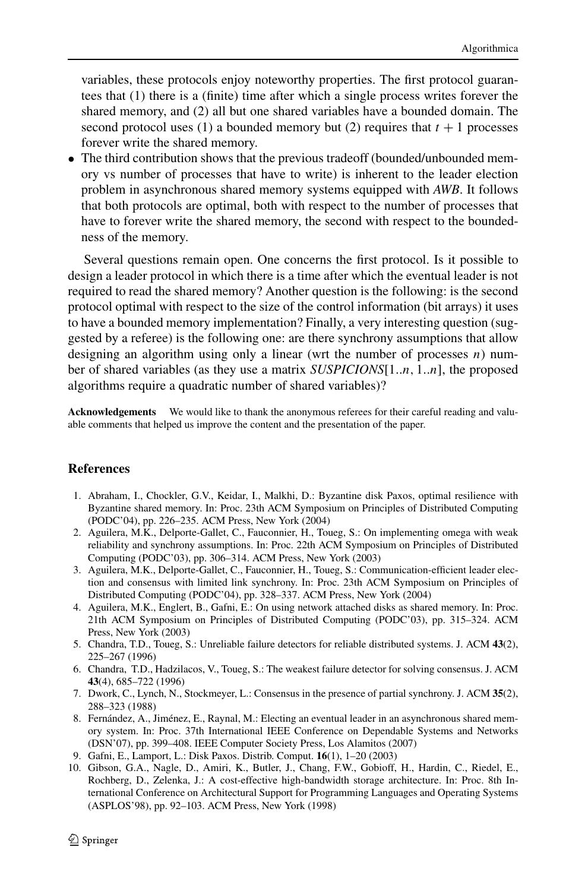<span id="page-25-0"></span>variables, these protocols enjoy noteworthy properties. The first protocol guarantees that (1) there is a (finite) time after which a single process writes forever the shared memory, and (2) all but one shared variables have a bounded domain. The second protocol uses (1) a bounded memory but (2) requires that  $t + 1$  processes forever write the shared memory.

• The third contribution shows that the previous tradeoff (bounded/unbounded memory vs number of processes that have to write) is inherent to the leader election problem in asynchronous shared memory systems equipped with *AWB*. It follows that both protocols are optimal, both with respect to the number of processes that have to forever write the shared memory, the second with respect to the boundedness of the memory.

Several questions remain open. One concerns the first protocol. Is it possible to design a leader protocol in which there is a time after which the eventual leader is not required to read the shared memory? Another question is the following: is the second protocol optimal with respect to the size of the control information (bit arrays) it uses to have a bounded memory implementation? Finally, a very interesting question (suggested by a referee) is the following one: are there synchrony assumptions that allow designing an algorithm using only a linear (wrt the number of processes *n*) number of shared variables (as they use a matrix *SUSPICIONS*[1*..n,* 1*..n*], the proposed algorithms require a quadratic number of shared variables)?

**Acknowledgements** We would like to thank the anonymous referees for their careful reading and valuable comments that helped us improve the content and the presentation of the paper.

#### **References**

- 1. Abraham, I., Chockler, G.V., Keidar, I., Malkhi, D.: Byzantine disk Paxos, optimal resilience with Byzantine shared memory. In: Proc. 23th ACM Symposium on Principles of Distributed Computing (PODC'04), pp. 226–235. ACM Press, New York (2004)
- 2. Aguilera, M.K., Delporte-Gallet, C., Fauconnier, H., Toueg, S.: On implementing omega with weak reliability and synchrony assumptions. In: Proc. 22th ACM Symposium on Principles of Distributed Computing (PODC'03), pp. 306–314. ACM Press, New York (2003)
- 3. Aguilera, M.K., Delporte-Gallet, C., Fauconnier, H., Toueg, S.: Communication-efficient leader election and consensus with limited link synchrony. In: Proc. 23th ACM Symposium on Principles of Distributed Computing (PODC'04), pp. 328–337. ACM Press, New York (2004)
- 4. Aguilera, M.K., Englert, B., Gafni, E.: On using network attached disks as shared memory. In: Proc. 21th ACM Symposium on Principles of Distributed Computing (PODC'03), pp. 315–324. ACM Press, New York (2003)
- 5. Chandra, T.D., Toueg, S.: Unreliable failure detectors for reliable distributed systems. J. ACM **43**(2), 225–267 (1996)
- 6. Chandra, T.D., Hadzilacos, V., Toueg, S.: The weakest failure detector for solving consensus. J. ACM **43**(4), 685–722 (1996)
- 7. Dwork, C., Lynch, N., Stockmeyer, L.: Consensus in the presence of partial synchrony. J. ACM **35**(2), 288–323 (1988)
- 8. Fernández, A., Jiménez, E., Raynal, M.: Electing an eventual leader in an asynchronous shared memory system. In: Proc. 37th International IEEE Conference on Dependable Systems and Networks (DSN'07), pp. 399–408. IEEE Computer Society Press, Los Alamitos (2007)
- 9. Gafni, E., Lamport, L.: Disk Paxos. Distrib. Comput. **16**(1), 1–20 (2003)
- 10. Gibson, G.A., Nagle, D., Amiri, K., Butler, J., Chang, F.W., Gobioff, H., Hardin, C., Riedel, E., Rochberg, D., Zelenka, J.: A cost-effective high-bandwidth storage architecture. In: Proc. 8th International Conference on Architectural Support for Programming Languages and Operating Systems (ASPLOS'98), pp. 92–103. ACM Press, New York (1998)